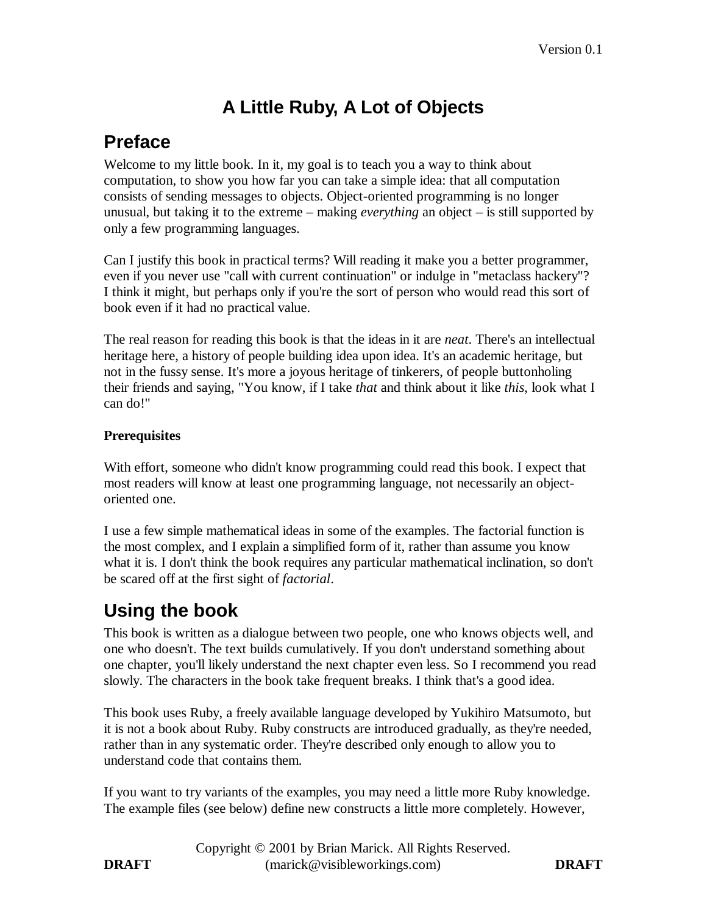# **A Little Ruby, A Lot of Objects**

## **Preface**

Welcome to my little book. In it, my goal is to teach you a way to think about computation, to show you how far you can take a simple idea: that all computation consists of sending messages to objects. Object-oriented programming is no longer unusual, but taking it to the extreme – making *everything* an object – is still supported by only a few programming languages.

Can I justify this book in practical terms? Will reading it make you a better programmer, even if you never use "call with current continuation" or indulge in "metaclass hackery"? I think it might, but perhaps only if you're the sort of person who would read this sort of book even if it had no practical value.

The real reason for reading this book is that the ideas in it are *neat*. There's an intellectual heritage here, a history of people building idea upon idea. It's an academic heritage, but not in the fussy sense. It's more a joyous heritage of tinkerers, of people buttonholing their friends and saying, "You know, if I take *that* and think about it like *this*, look what I can do!"

#### **Prerequisites**

With effort, someone who didn't know programming could read this book. I expect that most readers will know at least one programming language, not necessarily an objectoriented one.

I use a few simple mathematical ideas in some of the examples. The factorial function is the most complex, and I explain a simplified form of it, rather than assume you know what it is. I don't think the book requires any particular mathematical inclination, so don't be scared off at the first sight of *factorial*.

## **Using the book**

This book is written as a dialogue between two people, one who knows objects well, and one who doesn't. The text builds cumulatively. If you don't understand something about one chapter, you'll likely understand the next chapter even less. So I recommend you read slowly. The characters in the book take frequent breaks. I think that's a good idea.

This book uses Ruby, a freely available language developed by Yukihiro Matsumoto, but it is not a book about Ruby. Ruby constructs are introduced gradually, as they're needed, rather than in any systematic order. They're described only enough to allow you to understand code that contains them.

If you want to try variants of the examples, you may need a little more Ruby knowledge. The example files (see below) define new constructs a little more completely. However,

Copyright © 2001 by Brian Marick. All Rights Reserved. **DRAFT** (marick@visibleworkings.com) **DRAFT**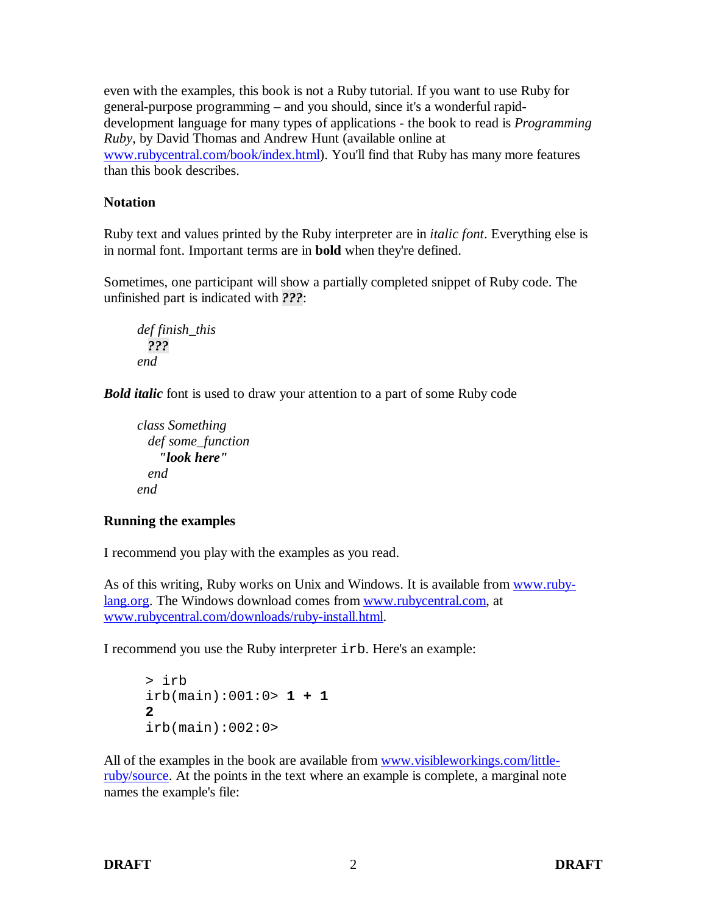even with the examples, this book is not a Ruby tutorial. If you want to use Ruby for general-purpose programming – and you should, since it's a wonderful rapiddevelopment language for many types of applications - the book to read is *Programming Ruby*, by David Thomas and Andrew Hunt (available online at www.rubycentral.com/book/index.html). You'll find that Ruby has many more features than this book describes.

#### **Notation**

Ruby text and values printed by the Ruby interpreter are in *italic font*. Everything else is in normal font. Important terms are in **bold** when they're defined.

Sometimes, one participant will show a partially completed snippet of Ruby code. The unfinished part is indicated with *???*:

```
def finish_this
   ???
end
```
*Bold italic* font is used to draw your attention to a part of some Ruby code

```
class Something
  def some_function
    "look here"
  end
end
```
### **Running the examples**

I recommend you play with the examples as you read.

As of this writing, Ruby works on Unix and Windows. It is available from www.rubylang.org. The Windows download comes from www.rubycentral.com, at www.rubycentral.com/downloads/ruby-install.html.

I recommend you use the Ruby interpreter irb. Here's an example:

```
> irb
irb(main):001:0> 1 + 1
2
irb(main):002:0>
```
All of the examples in the book are available from www.visibleworkings.com/littleruby/source. At the points in the text where an example is complete, a marginal note names the example's file: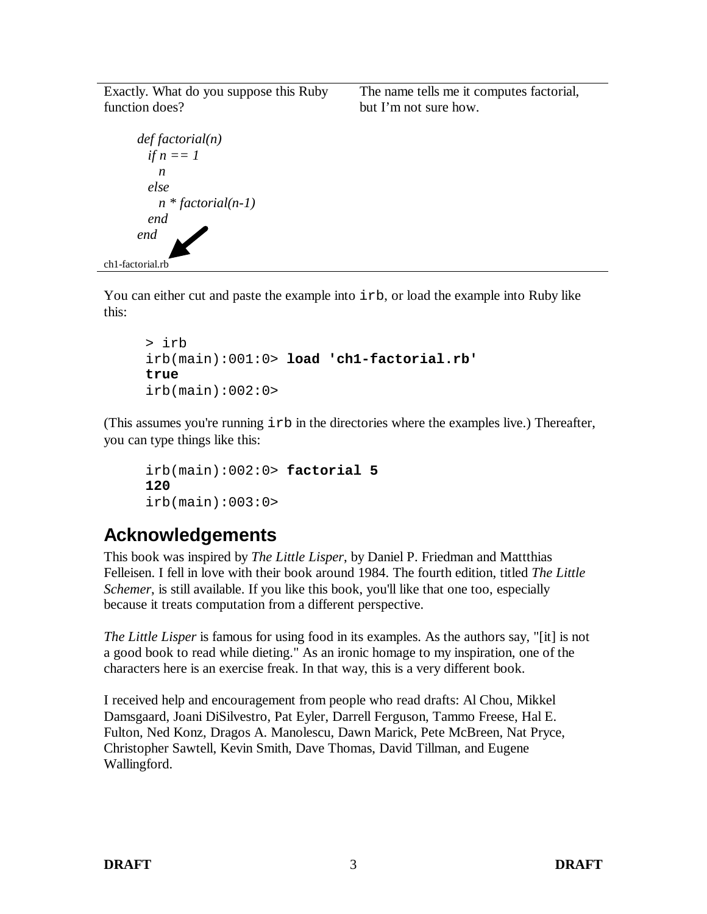Exactly. What do you suppose this Ruby function does?

```
def factorial(n)
         if n == 1 n
          else
            n * factorial(n-1)
          end
       end
ch1-factorial.rb
```
The name tells me it computes factorial, but I'm not sure how.

You can either cut and paste the example into  $i$ rb, or load the example into Ruby like this:

```
> irb
irb(main):001:0> load 'ch1-factorial.rb'
true
irb(main):002:0>
```
(This assumes you're running irb in the directories where the examples live.) Thereafter, you can type things like this:

```
irb(main):002:0> factorial 5
120
irb(main):003:0>
```
## **Acknowledgements**

This book was inspired by *The Little Lisper*, by Daniel P. Friedman and Mattthias Felleisen. I fell in love with their book around 1984. The fourth edition, titled *The Little Schemer*, is still available. If you like this book, you'll like that one too, especially because it treats computation from a different perspective.

*The Little Lisper* is famous for using food in its examples. As the authors say, "[it] is not a good book to read while dieting." As an ironic homage to my inspiration, one of the characters here is an exercise freak. In that way, this is a very different book.

I received help and encouragement from people who read drafts: Al Chou, Mikkel Damsgaard, Joani DiSilvestro, Pat Eyler, Darrell Ferguson, Tammo Freese, Hal E. Fulton, Ned Konz, Dragos A. Manolescu, Dawn Marick, Pete McBreen, Nat Pryce, Christopher Sawtell, Kevin Smith, Dave Thomas, David Tillman, and Eugene Wallingford.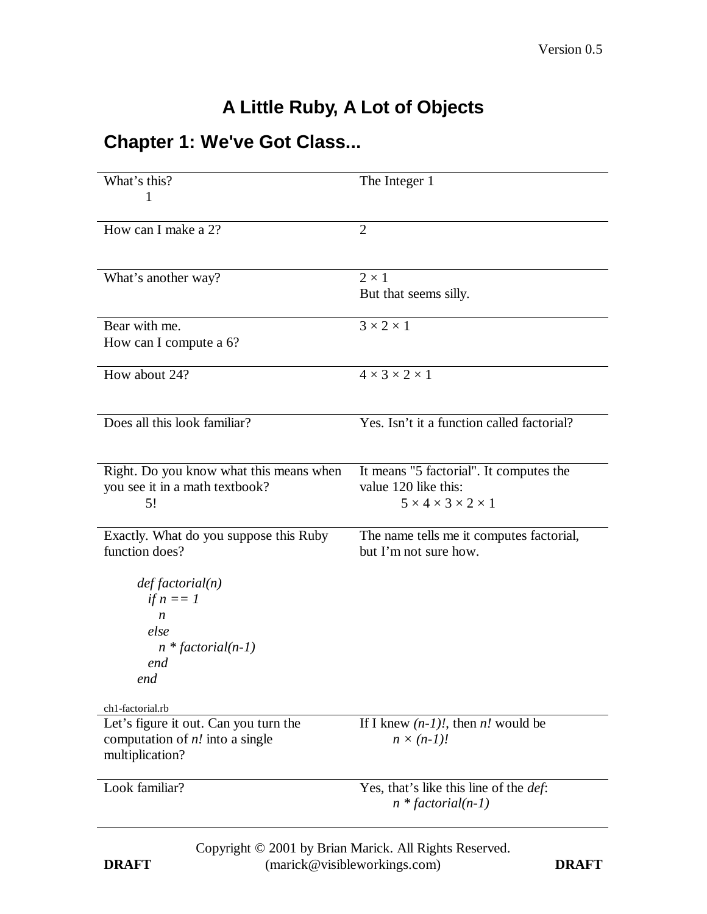# **A Little Ruby, A Lot of Objects**

## **Chapter 1: We've Got Class...**

| What's this?                                                               | The Integer 1                                                          |
|----------------------------------------------------------------------------|------------------------------------------------------------------------|
| 1                                                                          |                                                                        |
| How can I make a 2?                                                        | $\overline{2}$                                                         |
|                                                                            |                                                                        |
| What's another way?                                                        | $2 \times 1$                                                           |
|                                                                            | But that seems silly.                                                  |
|                                                                            |                                                                        |
| Bear with me.<br>How can I compute a 6?                                    | $3 \times 2 \times 1$                                                  |
|                                                                            |                                                                        |
| How about 24?                                                              | $4 \times 3 \times 2 \times 1$                                         |
|                                                                            |                                                                        |
| Does all this look familiar?                                               | Yes. Isn't it a function called factorial?                             |
|                                                                            |                                                                        |
| Right. Do you know what this means when                                    | It means "5 factorial". It computes the                                |
| you see it in a math textbook?                                             | value 120 like this:                                                   |
| 5!                                                                         | $5 \times 4 \times 3 \times 2 \times 1$                                |
| Exactly. What do you suppose this Ruby                                     | The name tells me it computes factorial,                               |
| function does?                                                             | but I'm not sure how.                                                  |
|                                                                            |                                                                        |
| def factorial(n)<br>if $n == 1$                                            |                                                                        |
| $\boldsymbol{n}$                                                           |                                                                        |
| else                                                                       |                                                                        |
| $n * factorial(n-1)$                                                       |                                                                        |
| end<br>end                                                                 |                                                                        |
|                                                                            |                                                                        |
| ch1-factorial.rb                                                           |                                                                        |
| Let's figure it out. Can you turn the<br>computation of $n!$ into a single | If I knew $(n-1)$ , then <i>n</i> , would be<br>$n \times (n-1)!$      |
| multiplication?                                                            |                                                                        |
|                                                                            |                                                                        |
| Look familiar?                                                             | Yes, that's like this line of the <i>def</i> :<br>$n * factorial(n-1)$ |
|                                                                            |                                                                        |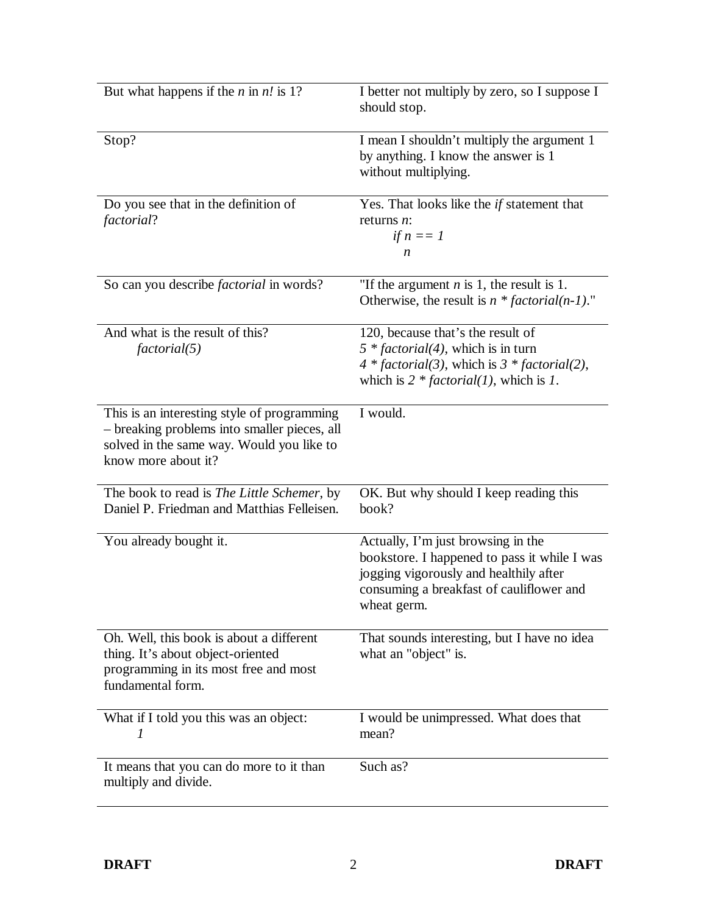| But what happens if the <i>n</i> in $n!$ is 1?                                                                                                                  | I better not multiply by zero, so I suppose I<br>should stop.                                                                                                                           |
|-----------------------------------------------------------------------------------------------------------------------------------------------------------------|-----------------------------------------------------------------------------------------------------------------------------------------------------------------------------------------|
| Stop?                                                                                                                                                           | I mean I shouldn't multiply the argument 1<br>by anything. I know the answer is 1<br>without multiplying.                                                                               |
| Do you see that in the definition of<br>factorial?                                                                                                              | Yes. That looks like the if statement that<br>returns $n$ :<br>if $n == 1$<br>n                                                                                                         |
| So can you describe <i>factorial</i> in words?                                                                                                                  | "If the argument $n$ is 1, the result is 1.<br>Otherwise, the result is $n * factorial(n-1)$ ."                                                                                         |
| And what is the result of this?<br>factorial(5)                                                                                                                 | 120, because that's the result of<br>$5 * factorial(4)$ , which is in turn<br>$4 * factorial(3)$ , which is $3 * factorial(2)$ ,<br>which is $2 * factorial(1)$ , which is 1.           |
| This is an interesting style of programming<br>- breaking problems into smaller pieces, all<br>solved in the same way. Would you like to<br>know more about it? | I would.                                                                                                                                                                                |
| The book to read is The Little Schemer, by<br>Daniel P. Friedman and Matthias Felleisen.                                                                        | OK. But why should I keep reading this<br>book?                                                                                                                                         |
| You already bought it.                                                                                                                                          | Actually, I'm just browsing in the<br>bookstore. I happened to pass it while I was<br>jogging vigorously and healthily after<br>consuming a breakfast of cauliflower and<br>wheat germ. |
| Oh. Well, this book is about a different<br>thing. It's about object-oriented<br>programming in its most free and most<br>fundamental form.                     | That sounds interesting, but I have no idea<br>what an "object" is.                                                                                                                     |
| What if I told you this was an object:<br>1                                                                                                                     | I would be unimpressed. What does that<br>mean?                                                                                                                                         |
| It means that you can do more to it than<br>multiply and divide.                                                                                                | Such as?                                                                                                                                                                                |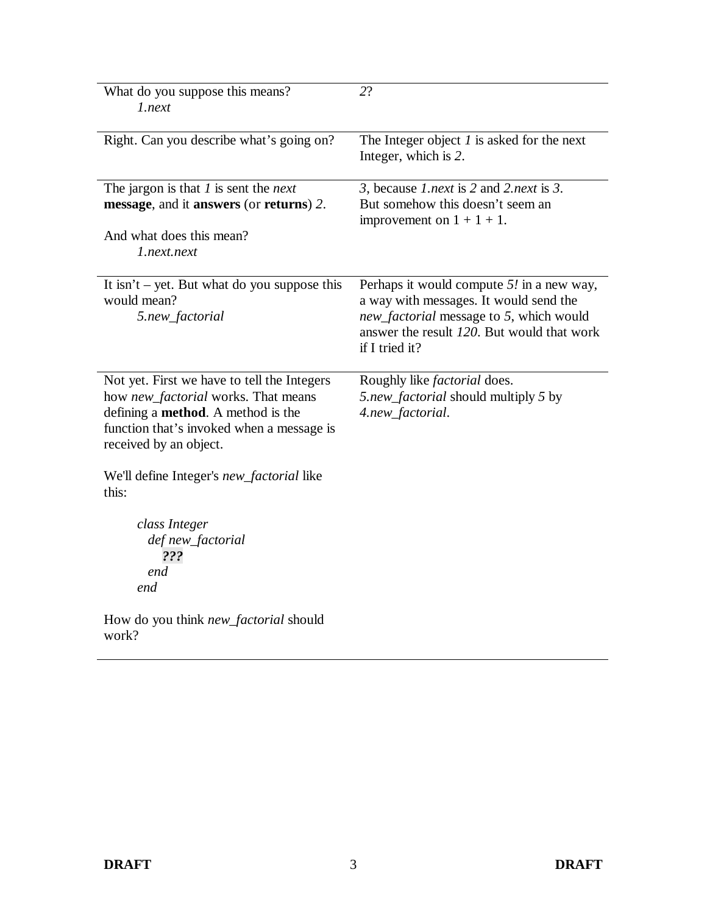| What do you suppose this means?<br>1.next                                                                                                                                                               | 2?                                                                                                                                                                                               |
|---------------------------------------------------------------------------------------------------------------------------------------------------------------------------------------------------------|--------------------------------------------------------------------------------------------------------------------------------------------------------------------------------------------------|
| Right. Can you describe what's going on?                                                                                                                                                                | The Integer object $I$ is asked for the next<br>Integer, which is 2.                                                                                                                             |
| The jargon is that $I$ is sent the <i>next</i><br>message, and it answers (or returns) 2.<br>And what does this mean?<br>1.next.next                                                                    | 3, because 1.next is 2 and 2.next is 3.<br>But somehow this doesn't seem an<br>improvement on $1 + 1 + 1$ .                                                                                      |
| It isn't $-$ yet. But what do you suppose this<br>would mean?<br>5.new_factorial                                                                                                                        | Perhaps it would compute $5!$ in a new way,<br>a way with messages. It would send the<br>new_factorial message to 5, which would<br>answer the result 120. But would that work<br>if I tried it? |
| Not yet. First we have to tell the Integers<br>how new_factorial works. That means<br>defining a <b>method</b> . A method is the<br>function that's invoked when a message is<br>received by an object. | Roughly like <i>factorial</i> does.<br>5.new_factorial should multiply 5 by<br>4.new_factorial.                                                                                                  |
| We'll define Integer's <i>new_factorial</i> like<br>this:                                                                                                                                               |                                                                                                                                                                                                  |
| class Integer<br>def new_factorial<br>???<br>end<br>end                                                                                                                                                 |                                                                                                                                                                                                  |
| How do you think <i>new_factorial</i> should<br>work?                                                                                                                                                   |                                                                                                                                                                                                  |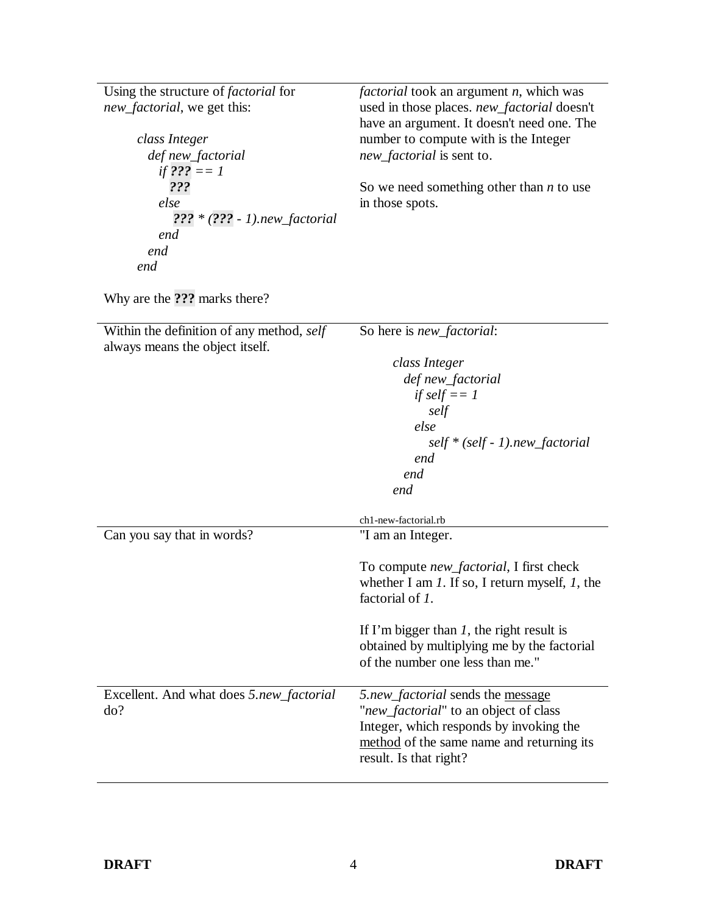| Using the structure of <i>factorial</i> for<br><i>new_factorial</i> , we get this:<br>class Integer<br>def new_factorial<br>if ??? $== 1$<br>???<br>else<br>$222 * (222 - 1)$ .new_factorial<br>end<br>end<br>end | <i>factorial</i> took an argument <i>n</i> , which was<br>used in those places. new_factorial doesn't<br>have an argument. It doesn't need one. The<br>number to compute with is the Integer<br>new_factorial is sent to.<br>So we need something other than $n$ to use<br>in those spots. |
|-------------------------------------------------------------------------------------------------------------------------------------------------------------------------------------------------------------------|--------------------------------------------------------------------------------------------------------------------------------------------------------------------------------------------------------------------------------------------------------------------------------------------|
| Why are the ??? marks there?                                                                                                                                                                                      |                                                                                                                                                                                                                                                                                            |
| Within the definition of any method, self<br>always means the object itself.                                                                                                                                      | So here is <i>new_factorial</i> :                                                                                                                                                                                                                                                          |
|                                                                                                                                                                                                                   | class Integer                                                                                                                                                                                                                                                                              |
|                                                                                                                                                                                                                   | def new_factorial                                                                                                                                                                                                                                                                          |
|                                                                                                                                                                                                                   | if self $== 1$                                                                                                                                                                                                                                                                             |
|                                                                                                                                                                                                                   | self                                                                                                                                                                                                                                                                                       |
|                                                                                                                                                                                                                   | else                                                                                                                                                                                                                                                                                       |
|                                                                                                                                                                                                                   | $self * (self - 1). new\_factorial$<br>end                                                                                                                                                                                                                                                 |
|                                                                                                                                                                                                                   | end                                                                                                                                                                                                                                                                                        |
|                                                                                                                                                                                                                   | end                                                                                                                                                                                                                                                                                        |
|                                                                                                                                                                                                                   | ch1-new-factorial.rb                                                                                                                                                                                                                                                                       |
| Can you say that in words?                                                                                                                                                                                        | "I am an Integer.                                                                                                                                                                                                                                                                          |
|                                                                                                                                                                                                                   |                                                                                                                                                                                                                                                                                            |
|                                                                                                                                                                                                                   | To compute <i>new_factorial</i> , I first check                                                                                                                                                                                                                                            |
|                                                                                                                                                                                                                   | whether I am $1$ . If so, I return myself, $1$ , the                                                                                                                                                                                                                                       |
|                                                                                                                                                                                                                   | factorial of 1.                                                                                                                                                                                                                                                                            |
|                                                                                                                                                                                                                   | If I'm bigger than $I$ , the right result is                                                                                                                                                                                                                                               |
|                                                                                                                                                                                                                   | obtained by multiplying me by the factorial                                                                                                                                                                                                                                                |
|                                                                                                                                                                                                                   | of the number one less than me."                                                                                                                                                                                                                                                           |
|                                                                                                                                                                                                                   | 5.new_factorial sends the message                                                                                                                                                                                                                                                          |
| Excellent. And what does 5.new_factorial<br>do?                                                                                                                                                                   | "new_factorial" to an object of class                                                                                                                                                                                                                                                      |
|                                                                                                                                                                                                                   | Integer, which responds by invoking the                                                                                                                                                                                                                                                    |
|                                                                                                                                                                                                                   | method of the same name and returning its                                                                                                                                                                                                                                                  |
|                                                                                                                                                                                                                   | result. Is that right?                                                                                                                                                                                                                                                                     |
|                                                                                                                                                                                                                   |                                                                                                                                                                                                                                                                                            |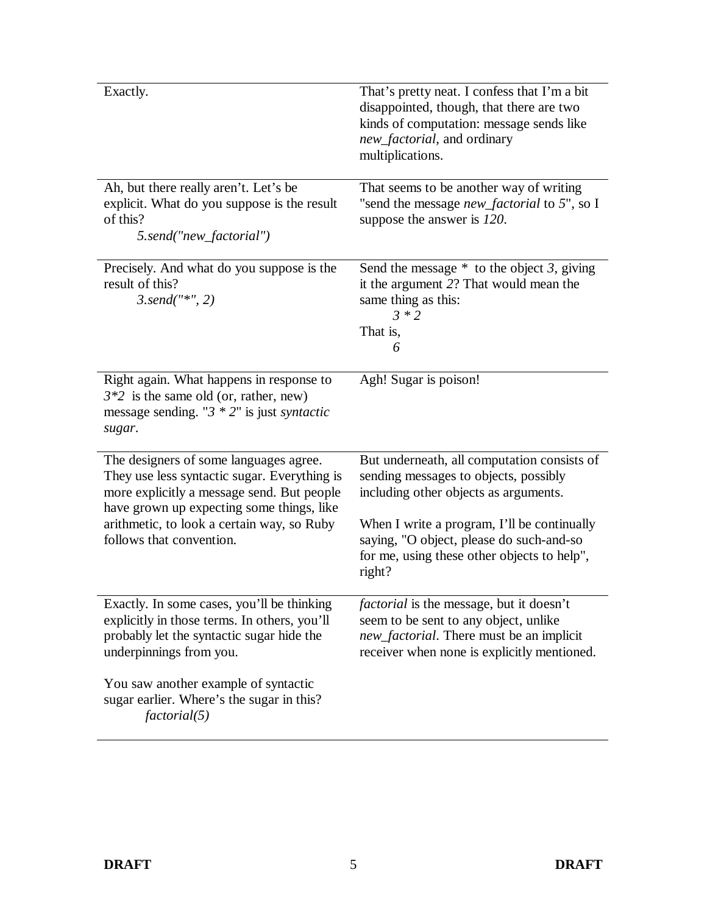| Exactly.                                                                                                                                                                                                                                                    | That's pretty neat. I confess that I'm a bit<br>disappointed, though, that there are two<br>kinds of computation: message sends like<br>new_factorial, and ordinary<br>multiplications.                                                                                           |
|-------------------------------------------------------------------------------------------------------------------------------------------------------------------------------------------------------------------------------------------------------------|-----------------------------------------------------------------------------------------------------------------------------------------------------------------------------------------------------------------------------------------------------------------------------------|
| Ah, but there really aren't. Let's be<br>explicit. What do you suppose is the result<br>of this?<br>5.send("new_factorial")                                                                                                                                 | That seems to be another way of writing<br>"send the message new_factorial to 5", so I<br>suppose the answer is 120.                                                                                                                                                              |
| Precisely. And what do you suppose is the<br>result of this?<br>$3. send("*, 2)$                                                                                                                                                                            | Send the message $*$ to the object 3, giving<br>it the argument 2? That would mean the<br>same thing as this:<br>$3 * 2$<br>That is,<br>6                                                                                                                                         |
| Right again. What happens in response to<br>$3*2$ is the same old (or, rather, new)<br>message sending. " $3 * 2$ " is just <i>syntactic</i><br>sugar.                                                                                                      | Agh! Sugar is poison!                                                                                                                                                                                                                                                             |
| The designers of some languages agree.<br>They use less syntactic sugar. Everything is<br>more explicitly a message send. But people<br>have grown up expecting some things, like<br>arithmetic, to look a certain way, so Ruby<br>follows that convention. | But underneath, all computation consists of<br>sending messages to objects, possibly<br>including other objects as arguments.<br>When I write a program, I'll be continually<br>saying, "O object, please do such-and-so<br>for me, using these other objects to help",<br>right? |
| Exactly. In some cases, you'll be thinking<br>explicitly in those terms. In others, you'll<br>probably let the syntactic sugar hide the<br>underpinnings from you.                                                                                          | factorial is the message, but it doesn't<br>seem to be sent to any object, unlike<br>new_factorial. There must be an implicit<br>receiver when none is explicitly mentioned.                                                                                                      |
| You saw another example of syntactic<br>sugar earlier. Where's the sugar in this?<br>factorial(5)                                                                                                                                                           |                                                                                                                                                                                                                                                                                   |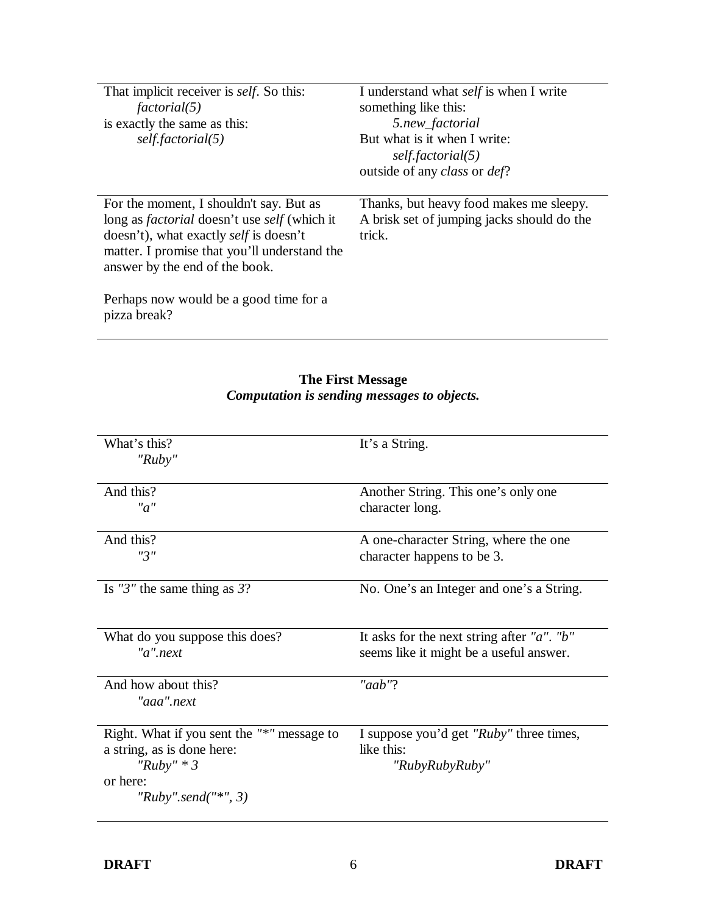| That implicit receiver is <i>self</i> . So this:<br>factorial(5)<br>is exactly the same as this:<br>self.factorial(5)                                                                                                                    | I understand what <i>self</i> is when I write<br>something like this:<br>5.new_factorial<br>But what is it when I write:<br>self.factorial(5)<br>outside of any <i>class</i> or <i>def</i> ? |
|------------------------------------------------------------------------------------------------------------------------------------------------------------------------------------------------------------------------------------------|----------------------------------------------------------------------------------------------------------------------------------------------------------------------------------------------|
| For the moment, I shouldn't say. But as<br>long as <i>factorial</i> doesn't use <i>self</i> (which it<br>doesn't), what exactly <i>self</i> is doesn't<br>matter. I promise that you'll understand the<br>answer by the end of the book. | Thanks, but heavy food makes me sleepy.<br>A brisk set of jumping jacks should do the<br>trick.                                                                                              |
| Perhaps now would be a good time for a<br>pizza break?                                                                                                                                                                                   |                                                                                                                                                                                              |

| What's this?<br>" $Ruby$ "                 | It's a String.                                     |
|--------------------------------------------|----------------------------------------------------|
| And this?                                  | Another String. This one's only one                |
| "a"                                        |                                                    |
|                                            | character long.                                    |
| And this?                                  | A one-character String, where the one              |
| "3"                                        | character happens to be 3.                         |
|                                            |                                                    |
| Is "3" the same thing as $3$ ?             | No. One's an Integer and one's a String.           |
|                                            |                                                    |
| What do you suppose this does?             | It asks for the next string after " $a$ ". " $b$ " |
| $"a"$ .next                                | seems like it might be a useful answer.            |
|                                            |                                                    |
| And how about this?                        | "aab"?                                             |
| "aaa".next                                 |                                                    |
|                                            |                                                    |
| Right. What if you sent the "*" message to | I suppose you'd get "Ruby" three times,            |
| a string, as is done here:                 | like this:                                         |
| " $Ruby" * 3$                              | "RubyRubyRuby"                                     |
| or here:                                   |                                                    |
| "Ruby".send("*", 3)                        |                                                    |
|                                            |                                                    |

#### **The First Message** *Computation is sending messages to objects.*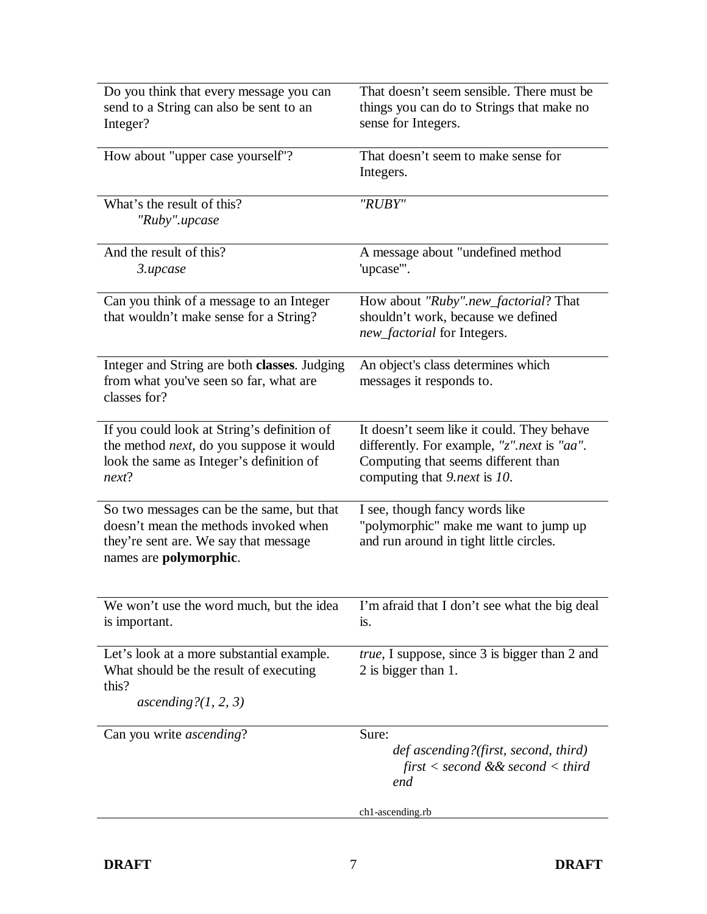| Do you think that every message you can<br>send to a String can also be sent to an                                                                    | That doesn't seem sensible. There must be<br>things you can do to Strings that make no                                                                           |
|-------------------------------------------------------------------------------------------------------------------------------------------------------|------------------------------------------------------------------------------------------------------------------------------------------------------------------|
| Integer?                                                                                                                                              | sense for Integers.                                                                                                                                              |
| How about "upper case yourself"?                                                                                                                      | That doesn't seem to make sense for<br>Integers.                                                                                                                 |
| What's the result of this?<br>"Ruby".upcase                                                                                                           | "RUBY"                                                                                                                                                           |
| And the result of this?<br>3.upcase                                                                                                                   | A message about "undefined method<br>'upcase'".                                                                                                                  |
| Can you think of a message to an Integer<br>that wouldn't make sense for a String?                                                                    | How about "Ruby".new_factorial? That<br>shouldn't work, because we defined<br>new_factorial for Integers.                                                        |
| Integer and String are both classes. Judging<br>from what you've seen so far, what are<br>classes for?                                                | An object's class determines which<br>messages it responds to.                                                                                                   |
| If you could look at String's definition of<br>the method <i>next</i> , do you suppose it would<br>look the same as Integer's definition of<br>next?  | It doesn't seem like it could. They behave<br>differently. For example, "z".next is "aa".<br>Computing that seems different than<br>computing that 9.next is 10. |
| So two messages can be the same, but that<br>doesn't mean the methods invoked when<br>they're sent are. We say that message<br>names are polymorphic. | I see, though fancy words like<br>"polymorphic" make me want to jump up<br>and run around in tight little circles.                                               |
| We won't use the word much, but the idea<br>is important.                                                                                             | I'm afraid that I don't see what the big deal<br>is.                                                                                                             |
| Let's look at a more substantial example.<br>What should be the result of executing<br>this?<br>ascending? $(1, 2, 3)$                                | <i>true</i> , I suppose, since 3 is bigger than 2 and<br>2 is bigger than 1.                                                                                     |
| Can you write <i>ascending</i> ?                                                                                                                      | Sure:<br>def ascending?(first, second, third)<br>first $\lt$ second && second $\lt$ third<br>end                                                                 |
|                                                                                                                                                       | ch1-ascending.rb                                                                                                                                                 |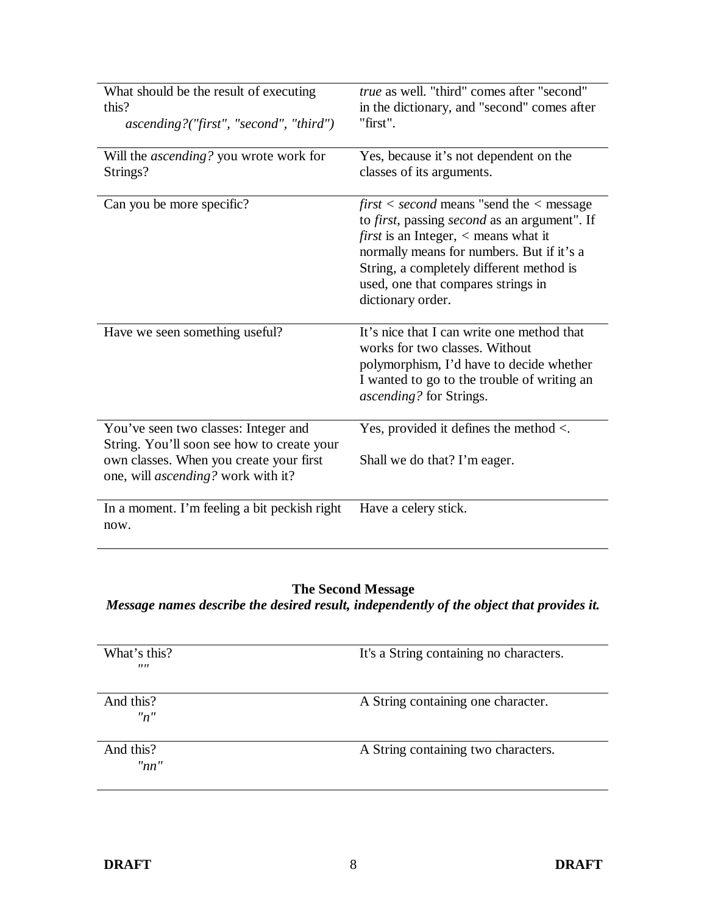| What should be the result of executing<br>this?<br>$ascending?("first", "second", "third")$                                                                                | true as well. "third" comes after "second"<br>in the dictionary, and "second" comes after<br>"first".                                                                                                                                                                                                                    |
|----------------------------------------------------------------------------------------------------------------------------------------------------------------------------|--------------------------------------------------------------------------------------------------------------------------------------------------------------------------------------------------------------------------------------------------------------------------------------------------------------------------|
| Will the <i>ascending</i> ? you wrote work for<br>Strings?                                                                                                                 | Yes, because it's not dependent on the<br>classes of its arguments.                                                                                                                                                                                                                                                      |
| Can you be more specific?                                                                                                                                                  | $first < second$ means "send the $\lt$ message<br>to <i>first</i> , passing <i>second</i> as an argument". If<br><i>first</i> is an Integer, $\langle$ means what it<br>normally means for numbers. But if it's a<br>String, a completely different method is<br>used, one that compares strings in<br>dictionary order. |
| Have we seen something useful?                                                                                                                                             | It's nice that I can write one method that<br>works for two classes. Without<br>polymorphism, I'd have to decide whether<br>I wanted to go to the trouble of writing an<br>ascending? for Strings.                                                                                                                       |
| You've seen two classes: Integer and<br>String. You'll soon see how to create your<br>own classes. When you create your first<br>one, will <i>ascending?</i> work with it? | Yes, provided it defines the method $\lt$ .<br>Shall we do that? I'm eager.                                                                                                                                                                                                                                              |
| In a moment. I'm feeling a bit peckish right<br>now.                                                                                                                       | Have a celery stick.                                                                                                                                                                                                                                                                                                     |

#### **The Second Message**

*Message names describe the desired result, independently of the object that provides it.*

| What's this?<br>$^{\prime\prime\prime}$ | It's a String containing no characters. |
|-----------------------------------------|-----------------------------------------|
| And this?<br>"n"                        | A String containing one character.      |
| And this?<br>"nn"                       | A String containing two characters.     |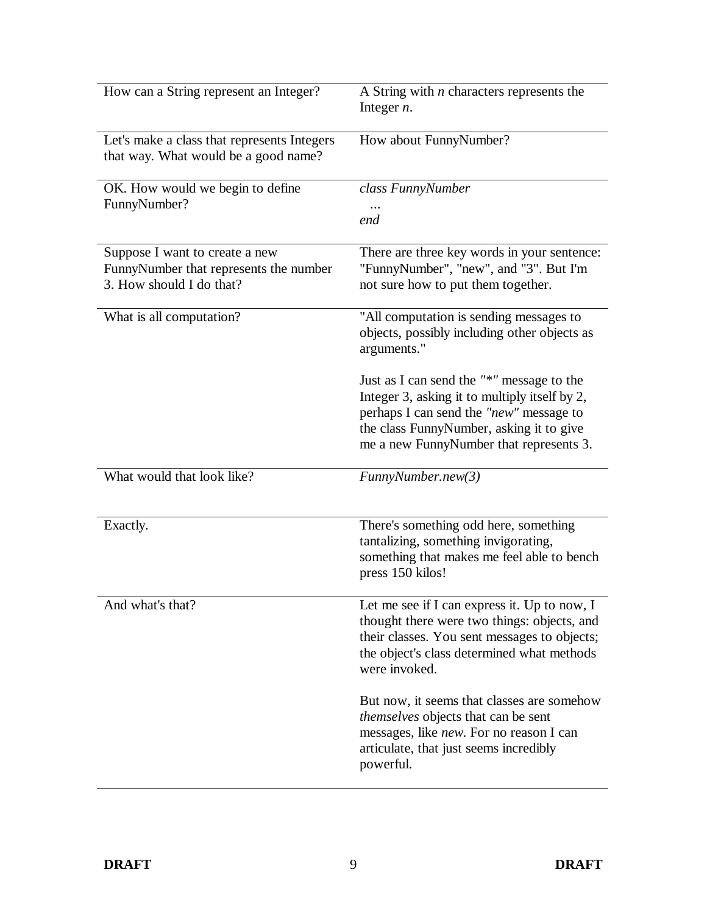| How can a String represent an Integer?                                                               | A String with $n$ characters represents the<br>Integer $n$ .                                                                                                                                                                 |
|------------------------------------------------------------------------------------------------------|------------------------------------------------------------------------------------------------------------------------------------------------------------------------------------------------------------------------------|
| Let's make a class that represents Integers<br>that way. What would be a good name?                  | How about FunnyNumber?                                                                                                                                                                                                       |
| OK. How would we begin to define<br>FunnyNumber?                                                     | class FunnyNumber<br>end                                                                                                                                                                                                     |
| Suppose I want to create a new<br>FunnyNumber that represents the number<br>3. How should I do that? | There are three key words in your sentence:<br>"FunnyNumber", "new", and "3". But I'm<br>not sure how to put them together.                                                                                                  |
| What is all computation?                                                                             | "All computation is sending messages to<br>objects, possibly including other objects as<br>arguments."                                                                                                                       |
|                                                                                                      | Just as I can send the "*" message to the<br>Integer 3, asking it to multiply itself by 2,<br>perhaps I can send the "new" message to<br>the class FunnyNumber, asking it to give<br>me a new FunnyNumber that represents 3. |
| What would that look like?                                                                           | FunnyNumber.new(3)                                                                                                                                                                                                           |
| Exactly.                                                                                             | There's something odd here, something<br>tantalizing, something invigorating,<br>something that makes me feel able to bench<br>press 150 kilos!                                                                              |
| And what's that?                                                                                     | Let me see if I can express it. Up to now, I<br>thought there were two things: objects, and<br>their classes. You sent messages to objects;<br>the object's class determined what methods<br>were invoked.                   |
|                                                                                                      | But now, it seems that classes are somehow<br><i>themselves</i> objects that can be sent<br>messages, like <i>new</i> . For no reason I can<br>articulate, that just seems incredibly<br>powerful.                           |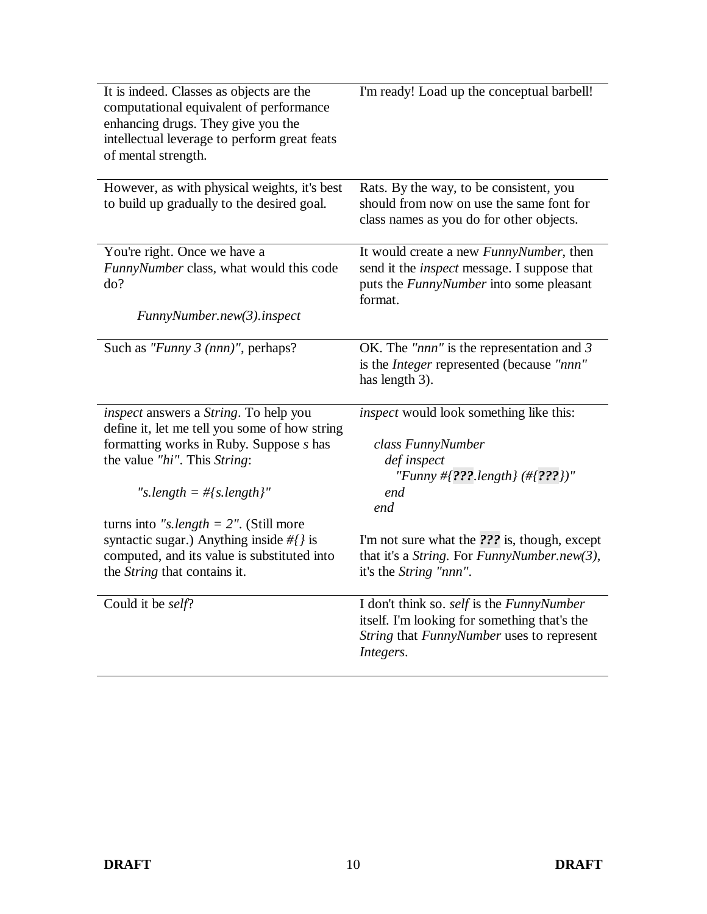| It is indeed. Classes as objects are the<br>computational equivalent of performance<br>enhancing drugs. They give you the<br>intellectual leverage to perform great feats<br>of mental strength. | I'm ready! Load up the conceptual barbell!                                                                                                          |
|--------------------------------------------------------------------------------------------------------------------------------------------------------------------------------------------------|-----------------------------------------------------------------------------------------------------------------------------------------------------|
| However, as with physical weights, it's best<br>to build up gradually to the desired goal.                                                                                                       | Rats. By the way, to be consistent, you<br>should from now on use the same font for<br>class names as you do for other objects.                     |
| You're right. Once we have a<br>FunnyNumber class, what would this code<br>do?                                                                                                                   | It would create a new FunnyNumber, then<br>send it the <i>inspect</i> message. I suppose that<br>puts the FunnyNumber into some pleasant<br>format. |
| FunnyNumber.new(3).inspect                                                                                                                                                                       |                                                                                                                                                     |
| Such as "Funny $3$ (nnn)", perhaps?                                                                                                                                                              | OK. The "nnn" is the representation and $3$<br>is the <i>Integer</i> represented (because "nnn"<br>has length 3).                                   |
| inspect answers a String. To help you<br>define it, let me tell you some of how string                                                                                                           | inspect would look something like this:                                                                                                             |
| formatting works in Ruby. Suppose s has<br>the value "hi". This String:                                                                                                                          | class FunnyNumber<br>def inspect<br>"Funny #{???.length} (#{???})"                                                                                  |
| "s.length = $\#$ [s.length]"                                                                                                                                                                     | end<br>end                                                                                                                                          |
| turns into "s.length = $2$ ". (Still more<br>syntactic sugar.) Anything inside $\#$ is<br>computed, and its value is substituted into<br>the String that contains it.                            | I'm not sure what the ??? is, though, except<br>that it's a String. For FunnyNumber.new(3),<br>it's the String "nnn".                               |
| Could it be self?                                                                                                                                                                                | I don't think so. self is the FunnyNumber<br>itself. I'm looking for something that's the<br>String that FunnyNumber uses to represent<br>Integers. |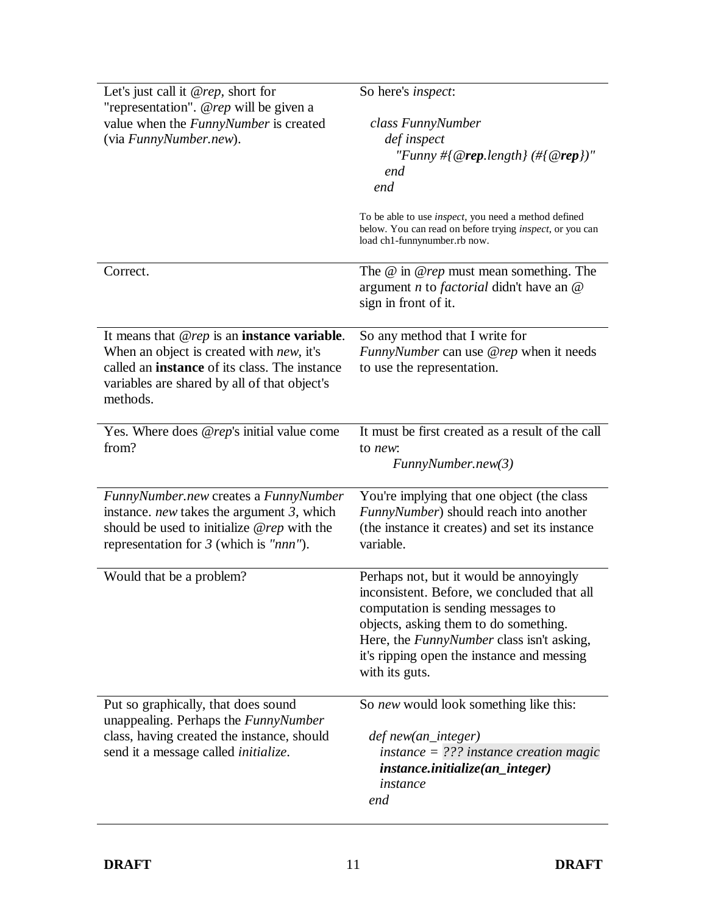| Let's just call it $@rep$ , short for<br>"representation". @rep will be given a<br>value when the <i>FunnyNumber</i> is created<br>(via FunnyNumber.new).                                                                     | So here's <i>inspect</i> :<br>class FunnyNumber<br>def inspect<br>"Funny #{@rep.length} (#{@rep})"<br>end<br>end<br>To be able to use <i>inspect</i> , you need a method defined<br>below. You can read on before trying <i>inspect</i> , or you can<br>load ch1-funnynumber.rb now.      |
|-------------------------------------------------------------------------------------------------------------------------------------------------------------------------------------------------------------------------------|-------------------------------------------------------------------------------------------------------------------------------------------------------------------------------------------------------------------------------------------------------------------------------------------|
| Correct.                                                                                                                                                                                                                      | The $@$ in $@$ rep must mean something. The<br>argument $n$ to <i>factorial</i> didn't have an $@$<br>sign in front of it.                                                                                                                                                                |
| It means that $@rep$ is an <b>instance variable</b> .<br>When an object is created with <i>new</i> , it's<br>called an <b>instance</b> of its class. The instance<br>variables are shared by all of that object's<br>methods. | So any method that I write for<br><i>FunnyNumber</i> can use @rep when it needs<br>to use the representation.                                                                                                                                                                             |
| Yes. Where does @rep's initial value come<br>from?                                                                                                                                                                            | It must be first created as a result of the call<br>to new:<br>FunnyNumber.new(3)                                                                                                                                                                                                         |
| FunnyNumber.new creates a FunnyNumber<br>instance. <i>new</i> takes the argument $3$ , which<br>should be used to initialize $@rep$ with the<br>representation for $\beta$ (which is "nnn").                                  | You're implying that one object (the class<br>FunnyNumber) should reach into another<br>(the instance it creates) and set its instance<br>variable.                                                                                                                                       |
| Would that be a problem?                                                                                                                                                                                                      | Perhaps not, but it would be annoyingly<br>inconsistent. Before, we concluded that all<br>computation is sending messages to<br>objects, asking them to do something.<br>Here, the <i>FunnyNumber</i> class isn't asking,<br>it's ripping open the instance and messing<br>with its guts. |
| Put so graphically, that does sound<br>unappealing. Perhaps the <i>FunnyNumber</i><br>class, having created the instance, should<br>send it a message called <i>initialize</i> .                                              | So new would look something like this:<br>def new(an_integer)<br>$instance =$ ??? instance creation magic<br>instance.initialize(an_integer)<br>instance<br>end                                                                                                                           |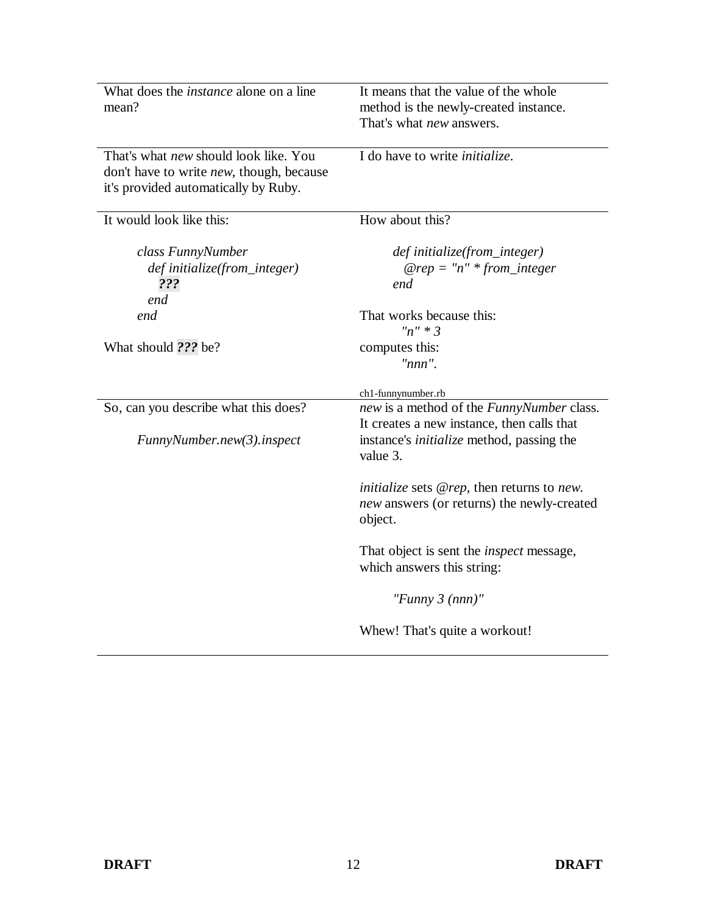| What does the <i>instance</i> alone on a line<br>mean?                                                                    | It means that the value of the whole<br>method is the newly-created instance.                              |
|---------------------------------------------------------------------------------------------------------------------------|------------------------------------------------------------------------------------------------------------|
|                                                                                                                           | That's what <i>new</i> answers.                                                                            |
| That's what new should look like. You<br>don't have to write new, though, because<br>it's provided automatically by Ruby. | I do have to write <i>initialize</i> .                                                                     |
| It would look like this:                                                                                                  | How about this?                                                                                            |
| class FunnyNumber<br>def initialize(from_integer)<br>???<br>end                                                           | def initialize(from_integer)<br>$@rep = "n" * from\_integer$<br>end                                        |
| end                                                                                                                       | That works because this:<br>$n'' * 3$                                                                      |
| What should ??? be?                                                                                                       | computes this:<br>$"nnn"$ .                                                                                |
|                                                                                                                           | ch1-funnynumber.rb                                                                                         |
| So, can you describe what this does?                                                                                      | new is a method of the FunnyNumber class.<br>It creates a new instance, then calls that                    |
| FunnyNumber.new(3).inspect                                                                                                | instance's <i>initialize</i> method, passing the<br>value 3.                                               |
|                                                                                                                           | <i>initialize</i> sets @rep, then returns to new.<br>new answers (or returns) the newly-created<br>object. |
|                                                                                                                           | That object is sent the <i>inspect</i> message,<br>which answers this string:                              |
|                                                                                                                           | "Funny 3 $(nnn)$ "                                                                                         |
|                                                                                                                           | Whew! That's quite a workout!                                                                              |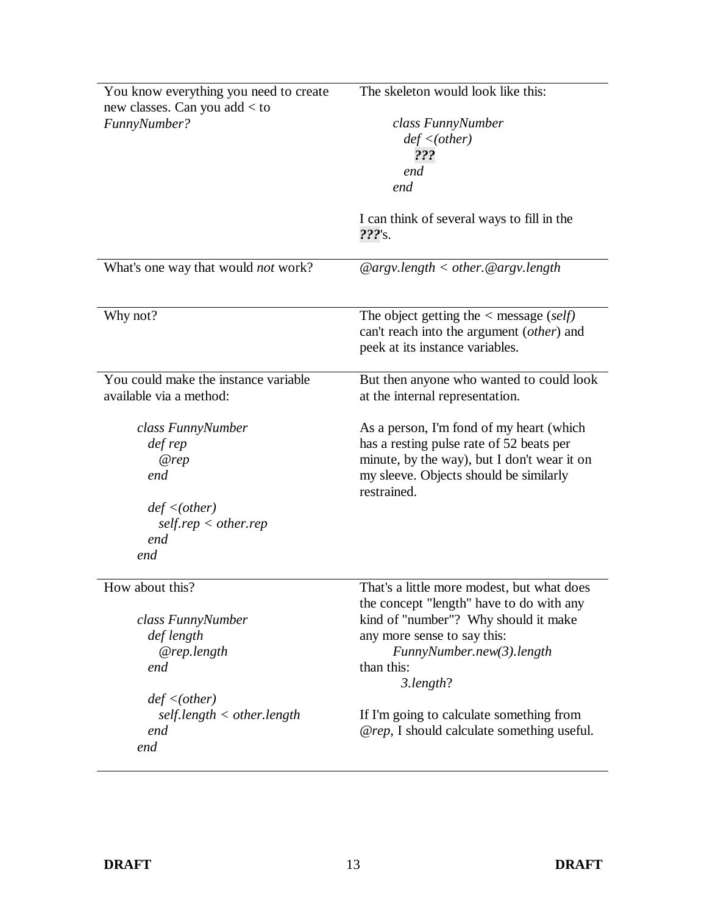| You know everything you need to create          | The skeleton would look like this:                      |
|-------------------------------------------------|---------------------------------------------------------|
| new classes. Can you add $<$ to<br>FunnyNumber? |                                                         |
|                                                 | class FunnyNumber<br>def < (other)                      |
|                                                 | ???                                                     |
|                                                 | end                                                     |
|                                                 | end                                                     |
|                                                 |                                                         |
|                                                 | I can think of several ways to fill in the<br>$222$ 's. |
| What's one way that would <i>not</i> work?      | $@argv.length < other$ . $@argv.length$                 |
| Why not?                                        | The object getting the $\langle$ message (self)         |
|                                                 | can't reach into the argument (other) and               |
|                                                 | peek at its instance variables.                         |
|                                                 |                                                         |
| You could make the instance variable            | But then anyone who wanted to could look                |
| available via a method:                         | at the internal representation.                         |
|                                                 |                                                         |
| class FunnyNumber                               | As a person, I'm fond of my heart (which                |
| def rep                                         | has a resting pulse rate of 52 beats per                |
| @rep                                            | minute, by the way), but I don't wear it on             |
| end                                             | my sleeve. Objects should be similarly<br>restrained.   |
| def < (other)                                   |                                                         |
| self.rep < other.rep                            |                                                         |
| end                                             |                                                         |
| end                                             |                                                         |
| How about this?                                 | That's a little more modest, but what does              |
|                                                 | the concept "length" have to do with any                |
| class FunnyNumber                               | kind of "number"? Why should it make                    |
| def length                                      | any more sense to say this:                             |
| @rep.length                                     | FunnyNumber.new(3).length                               |
| end                                             | than this:                                              |
|                                                 | 3.length?                                               |
| def < (other)                                   |                                                         |
| self.length < other.length                      | If I'm going to calculate something from                |
| end                                             | @rep, I should calculate something useful.              |
| end                                             |                                                         |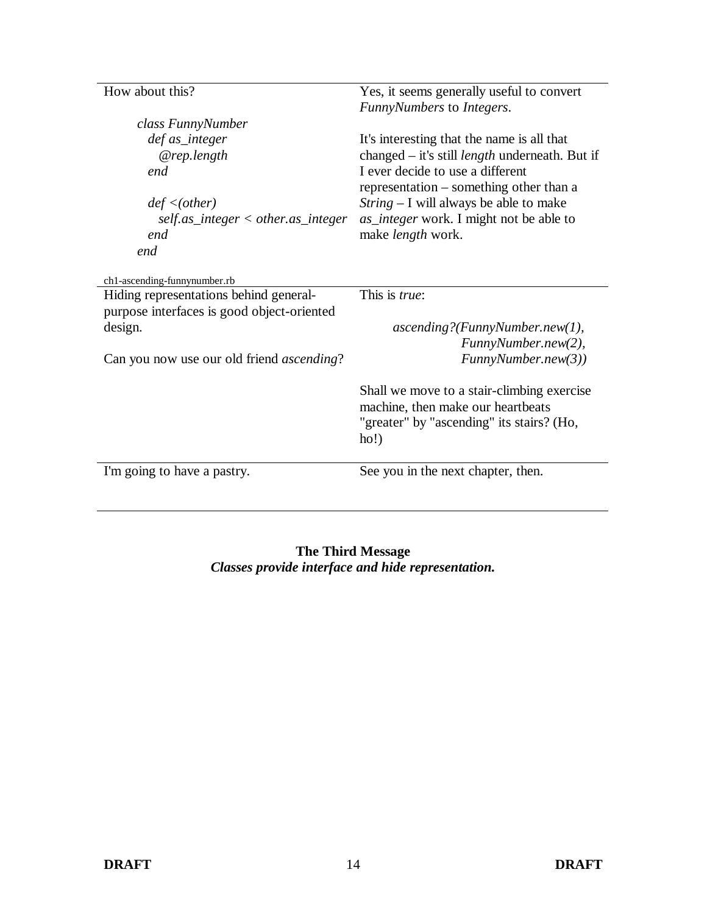| How about this?                                   | Yes, it seems generally useful to convert<br>FunnyNumbers to Integers.                                                               |
|---------------------------------------------------|--------------------------------------------------------------------------------------------------------------------------------------|
| class FunnyNumber                                 |                                                                                                                                      |
| def as_integer                                    | It's interesting that the name is all that                                                                                           |
| @rep.length                                       | changed – it's still <i>length</i> underneath. But if                                                                                |
| end                                               | I ever decide to use a different                                                                                                     |
|                                                   | representation – something other than a                                                                                              |
| def < (other)                                     | $String - I$ will always be able to make                                                                                             |
| $self. as\_integer < other. as\_integer$          | as_integer work. I might not be able to                                                                                              |
| end                                               | make <i>length</i> work.                                                                                                             |
| end                                               |                                                                                                                                      |
| ch1-ascending-funnynumber.rb                      |                                                                                                                                      |
| Hiding representations behind general-            | This is <i>true</i> :                                                                                                                |
| purpose interfaces is good object-oriented        |                                                                                                                                      |
| design.                                           | ascending?(FunnyNumber.new(1),                                                                                                       |
|                                                   | FunnyNumber.new(2),                                                                                                                  |
| Can you now use our old friend <i>ascending</i> ? | FunnyNumber.new(3))                                                                                                                  |
|                                                   | Shall we move to a stair-climbing exercise<br>machine, then make our heartbeats<br>"greater" by "ascending" its stairs? (Ho,<br>ho!) |
| I'm going to have a pastry.                       | See you in the next chapter, then.                                                                                                   |
|                                                   |                                                                                                                                      |

#### **The Third Message** *Classes provide interface and hide representation.*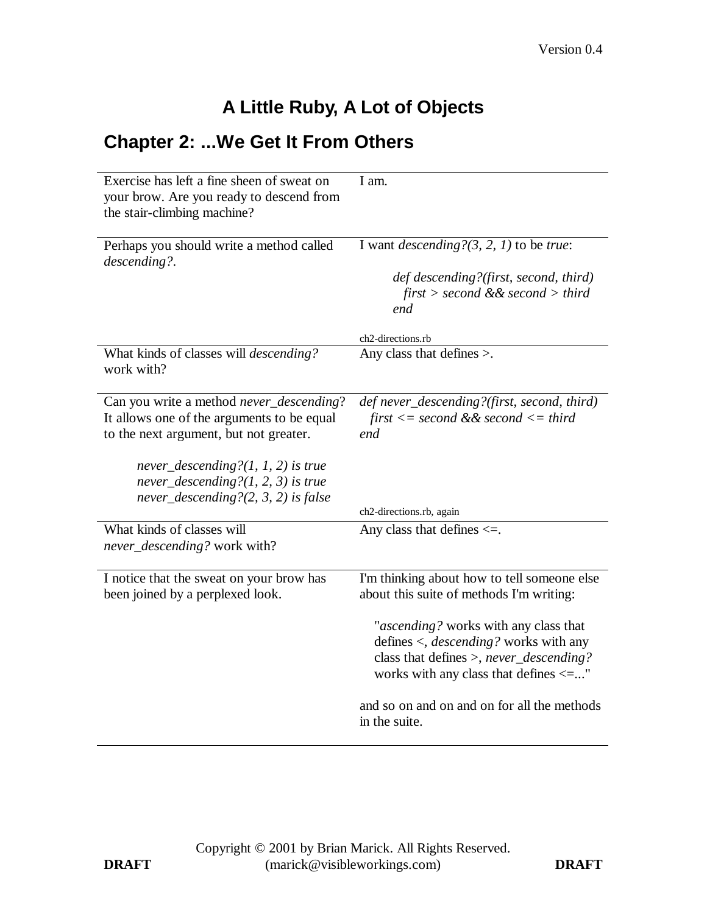# **A Little Ruby, A Lot of Objects**

## **Chapter 2: ...We Get It From Others**

| Exercise has left a fine sheen of sweat on<br>your brow. Are you ready to descend from<br>the stair-climbing machine?            | I am.                                                                                                                                                                                    |
|----------------------------------------------------------------------------------------------------------------------------------|------------------------------------------------------------------------------------------------------------------------------------------------------------------------------------------|
| Perhaps you should write a method called<br>descending?.                                                                         | I want <i>descending</i> ? $(3, 2, 1)$ to be <i>true</i> :<br>def descending?(first, second, third)<br>$first > second$ & $second > third$<br>end                                        |
|                                                                                                                                  | ch2-directions.rb                                                                                                                                                                        |
| What kinds of classes will <i>descending?</i><br>work with?                                                                      | Any class that defines $>$ .                                                                                                                                                             |
| Can you write a method never_descending?<br>It allows one of the arguments to be equal<br>to the next argument, but not greater. | def never_descending?(first, second, third)<br>first $\leq$ second && second $\leq$ third<br>end                                                                                         |
| never_descending? $(1, 1, 2)$ is true<br>never_descending? $(1, 2, 3)$ is true<br>never_descending? $(2, 3, 2)$ is false         | ch2-directions.rb, again                                                                                                                                                                 |
| What kinds of classes will<br>never_descending? work with?                                                                       | Any class that defines $\leq$ .                                                                                                                                                          |
| I notice that the sweat on your brow has<br>been joined by a perplexed look.                                                     | I'm thinking about how to tell someone else<br>about this suite of methods I'm writing:                                                                                                  |
|                                                                                                                                  | "ascending? works with any class that<br>defines $\langle$ , <i>descending</i> ? works with any<br>class that defines >, never_descending?<br>works with any class that defines $\leq$ " |
|                                                                                                                                  | and so on and on and on for all the methods<br>in the suite.                                                                                                                             |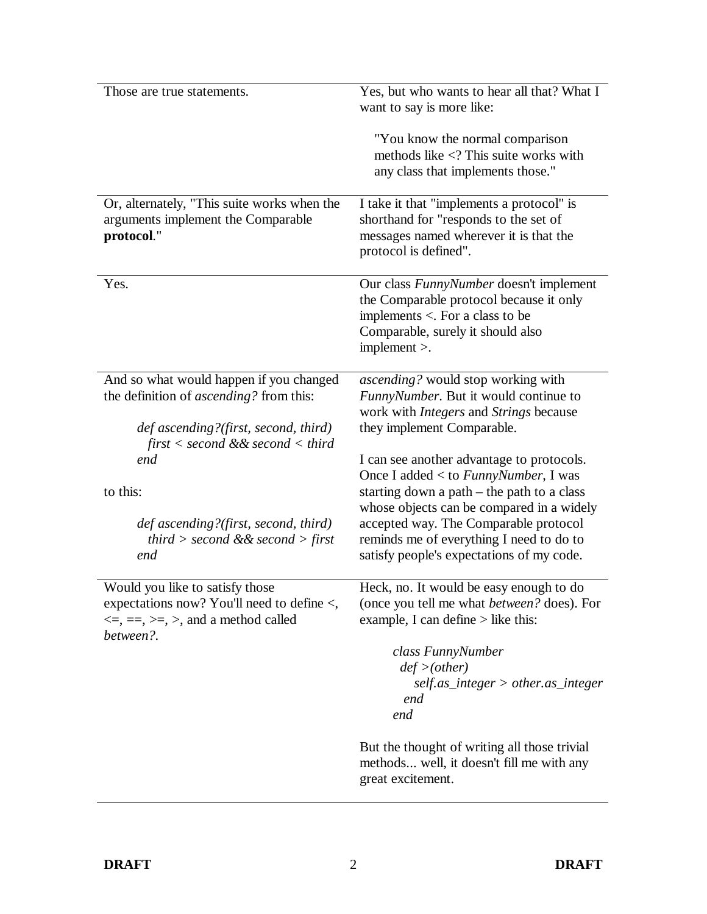| Those are true statements.                                                                                                                                                                                                                                                           | Yes, but who wants to hear all that? What I<br>want to say is more like:                                                                                                                                                                                                                                                                                                                                                                                                              |
|--------------------------------------------------------------------------------------------------------------------------------------------------------------------------------------------------------------------------------------------------------------------------------------|---------------------------------------------------------------------------------------------------------------------------------------------------------------------------------------------------------------------------------------------------------------------------------------------------------------------------------------------------------------------------------------------------------------------------------------------------------------------------------------|
|                                                                                                                                                                                                                                                                                      | "You know the normal comparison<br>methods like $\langle$ ? This suite works with<br>any class that implements those."                                                                                                                                                                                                                                                                                                                                                                |
| Or, alternately, "This suite works when the<br>arguments implement the Comparable<br>protocol."                                                                                                                                                                                      | I take it that "implements a protocol" is<br>shorthand for "responds to the set of<br>messages named wherever it is that the<br>protocol is defined".                                                                                                                                                                                                                                                                                                                                 |
| Yes.                                                                                                                                                                                                                                                                                 | Our class FunnyNumber doesn't implement<br>the Comparable protocol because it only<br>implements $\lt$ . For a class to be<br>Comparable, surely it should also<br>$implement$ .                                                                                                                                                                                                                                                                                                      |
| And so what would happen if you changed<br>the definition of ascending? from this:<br>def ascending?(first, second, third)<br>first $\lt$ second & & second $\lt$ third<br>end<br>to this:<br>def ascending?(first, second, third)<br><i>third</i> > second && second > first<br>end | ascending? would stop working with<br>FunnyNumber. But it would continue to<br>work with <i>Integers</i> and <i>Strings</i> because<br>they implement Comparable.<br>I can see another advantage to protocols.<br>Once I added < to FunnyNumber, I was<br>starting down a path $-$ the path to a class<br>whose objects can be compared in a widely<br>accepted way. The Comparable protocol<br>reminds me of everything I need to do to<br>satisfy people's expectations of my code. |
| Would you like to satisfy those<br>expectations now? You'll need to define $\lt$ ,<br>$\leq$ , $=$ , $\geq$ , $\geq$ , and a method called<br>between?.                                                                                                                              | Heck, no. It would be easy enough to do<br>(once you tell me what <i>between?</i> does). For<br>example, I can define $>$ like this:<br>class FunnyNumber<br>$def$ >(other)<br>$self. as\_integer > other. as\_integer$<br>end<br>end<br>But the thought of writing all those trivial<br>methods well, it doesn't fill me with any<br>great excitement.                                                                                                                               |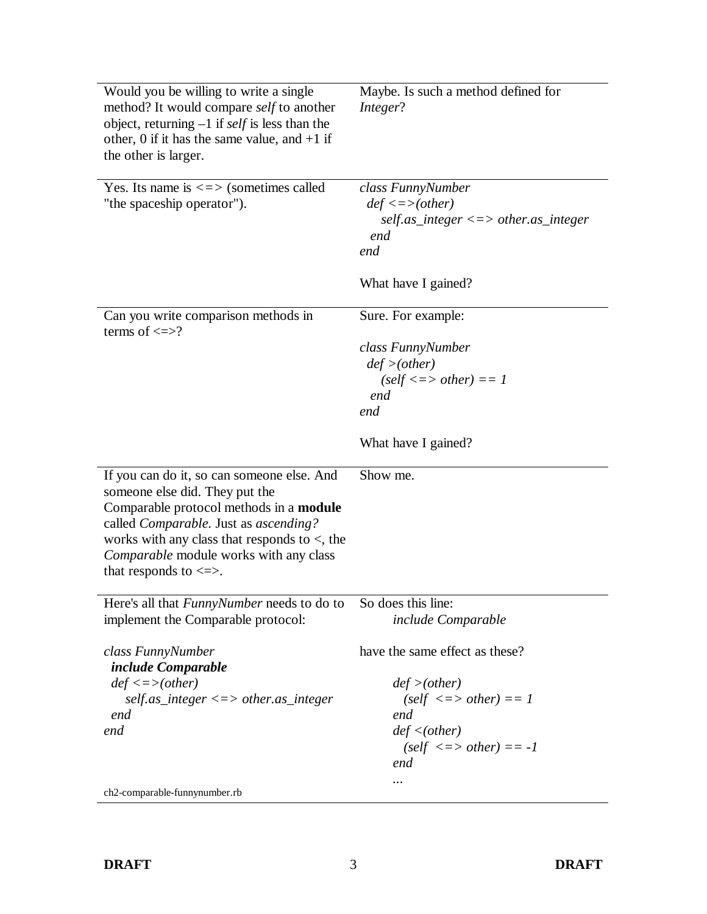| Would you be willing to write a single<br>method? It would compare self to another<br>object, returning $-1$ if <i>self</i> is less than the<br>other, 0 if it has the same value, and $+1$ if<br>the other is larger.                                                                        | Maybe. Is such a method defined for<br>Integer?   |
|-----------------------------------------------------------------------------------------------------------------------------------------------------------------------------------------------------------------------------------------------------------------------------------------------|---------------------------------------------------|
| Yes. Its name is $\le$ > (sometimes called<br>"the spaceship operator").                                                                                                                                                                                                                      | class FunnyNumber<br>$def \leq >(other)$          |
|                                                                                                                                                                                                                                                                                               | $self. as\_integer \le$ > other.as_integer<br>end |
|                                                                                                                                                                                                                                                                                               | end                                               |
|                                                                                                                                                                                                                                                                                               | What have I gained?                               |
| Can you write comparison methods in<br>terms of $\le$ >?                                                                                                                                                                                                                                      | Sure. For example:                                |
|                                                                                                                                                                                                                                                                                               | class FunnyNumber                                 |
|                                                                                                                                                                                                                                                                                               | $def$ >(other)                                    |
|                                                                                                                                                                                                                                                                                               | $(self \leq > other) == 1$                        |
|                                                                                                                                                                                                                                                                                               | end                                               |
|                                                                                                                                                                                                                                                                                               | end                                               |
|                                                                                                                                                                                                                                                                                               | What have I gained?                               |
| If you can do it, so can someone else. And<br>someone else did. They put the<br>Comparable protocol methods in a module<br>called Comparable. Just as ascending?<br>works with any class that responds to $\lt$ , the<br>Comparable module works with any class<br>that responds to $\leq$ >. | Show me.                                          |
|                                                                                                                                                                                                                                                                                               |                                                   |
| Here's all that <i>FunnyNumber</i> needs to do to So does this line:<br>implement the Comparable protocol:                                                                                                                                                                                    | include Comparable                                |
| class FunnyNumber<br>include Comparable                                                                                                                                                                                                                                                       | have the same effect as these?                    |
| $def \leq >(other)$                                                                                                                                                                                                                                                                           | $def$ >(other)                                    |
| $self. as\_integer \le$ > other.as_integer                                                                                                                                                                                                                                                    | $(self \le \gt$ other) == 1                       |
| end                                                                                                                                                                                                                                                                                           | end                                               |
| end                                                                                                                                                                                                                                                                                           | def < (other)                                     |
|                                                                                                                                                                                                                                                                                               | $(self \le > other) == -1$<br>end                 |
| ch2-comparable-funnynumber.rb                                                                                                                                                                                                                                                                 |                                                   |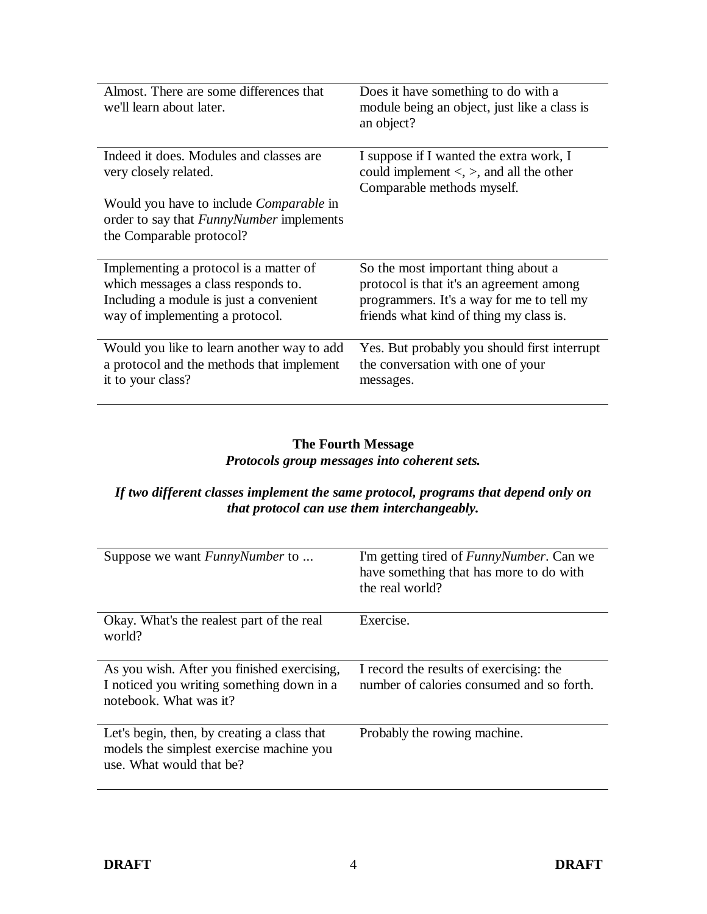| Almost. There are some differences that<br>we'll learn about later.                                                                                         | Does it have something to do with a<br>module being an object, just like a class is<br>an object?                                                                       |
|-------------------------------------------------------------------------------------------------------------------------------------------------------------|-------------------------------------------------------------------------------------------------------------------------------------------------------------------------|
| Indeed it does. Modules and classes are<br>very closely related.                                                                                            | I suppose if I wanted the extra work, I<br>could implement $\lt$ , $\gt$ , and all the other<br>Comparable methods myself.                                              |
| Would you have to include <i>Comparable</i> in<br>order to say that <i>FunnyNumber</i> implements<br>the Comparable protocol?                               |                                                                                                                                                                         |
| Implementing a protocol is a matter of<br>which messages a class responds to.<br>Including a module is just a convenient<br>way of implementing a protocol. | So the most important thing about a<br>protocol is that it's an agreement among<br>programmers. It's a way for me to tell my<br>friends what kind of thing my class is. |
| Would you like to learn another way to add<br>a protocol and the methods that implement<br>it to your class?                                                | Yes. But probably you should first interrupt<br>the conversation with one of your<br>messages.                                                                          |

### **The Fourth Message**  *Protocols group messages into coherent sets.*

### *If two different classes implement the same protocol, programs that depend only on that protocol can use them interchangeably.*

| Suppose we want <i>FunnyNumber</i> to                                                                               | I'm getting tired of <i>FunnyNumber</i> . Can we<br>have something that has more to do with<br>the real world? |
|---------------------------------------------------------------------------------------------------------------------|----------------------------------------------------------------------------------------------------------------|
| Okay. What's the realest part of the real                                                                           | Exercise.                                                                                                      |
| world?                                                                                                              |                                                                                                                |
|                                                                                                                     |                                                                                                                |
|                                                                                                                     |                                                                                                                |
| As you wish. After you finished exercising,<br>I noticed you writing something down in a<br>notebook. What was it?  | I record the results of exercising: the<br>number of calories consumed and so forth.                           |
| Let's begin, then, by creating a class that<br>models the simplest exercise machine you<br>use. What would that be? | Probably the rowing machine.                                                                                   |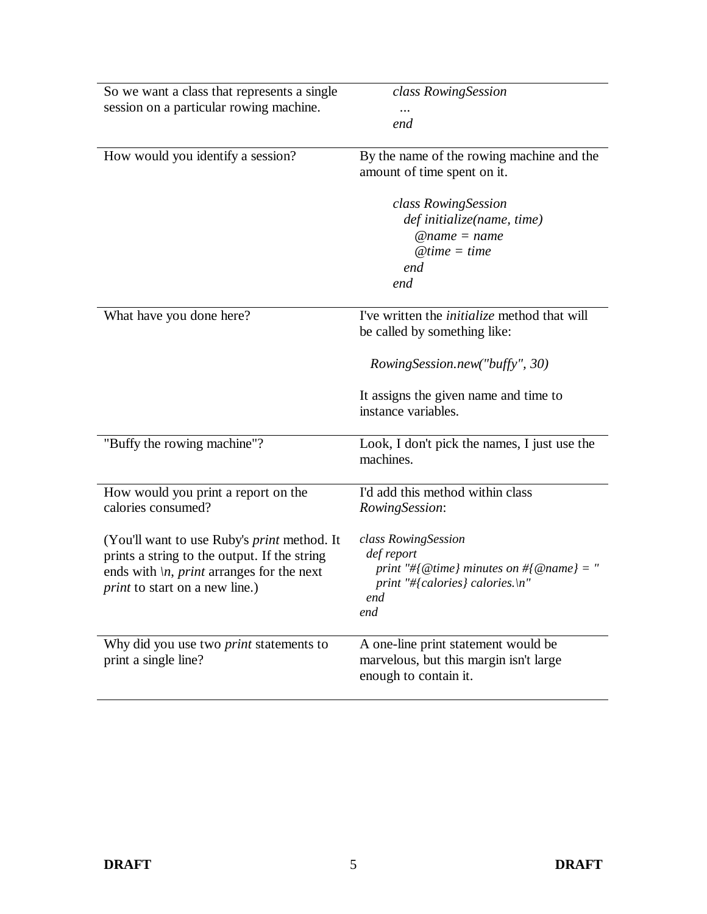| So we want a class that represents a single<br>session on a particular rowing machine.                                                                                                            | class RowingSession<br>end                                                                                                                                                            |
|---------------------------------------------------------------------------------------------------------------------------------------------------------------------------------------------------|---------------------------------------------------------------------------------------------------------------------------------------------------------------------------------------|
| How would you identify a session?                                                                                                                                                                 | By the name of the rowing machine and the<br>amount of time spent on it.                                                                                                              |
|                                                                                                                                                                                                   | class RowingSession<br>def initialize(name, time)<br>$@name = name$<br>$@time = time$<br>end<br>end                                                                                   |
| What have you done here?                                                                                                                                                                          | I've written the <i>initialize</i> method that will<br>be called by something like:<br>RowingSession.new("buffy", 30)<br>It assigns the given name and time to<br>instance variables. |
| "Buffy the rowing machine"?                                                                                                                                                                       | Look, I don't pick the names, I just use the<br>machines.                                                                                                                             |
| How would you print a report on the<br>calories consumed?                                                                                                                                         | I'd add this method within class<br>RowingSession:                                                                                                                                    |
| (You'll want to use Ruby's <i>print</i> method. It<br>prints a string to the output. If the string<br>ends with $\langle n, print$ arranges for the next<br><i>print</i> to start on a new line.) | class RowingSession<br>def report<br>print "#{@time} minutes on #{@name} = "<br>print "#{calories} calories.\n"<br>end<br>end                                                         |
| Why did you use two <i>print</i> statements to<br>print a single line?                                                                                                                            | A one-line print statement would be<br>marvelous, but this margin isn't large<br>enough to contain it.                                                                                |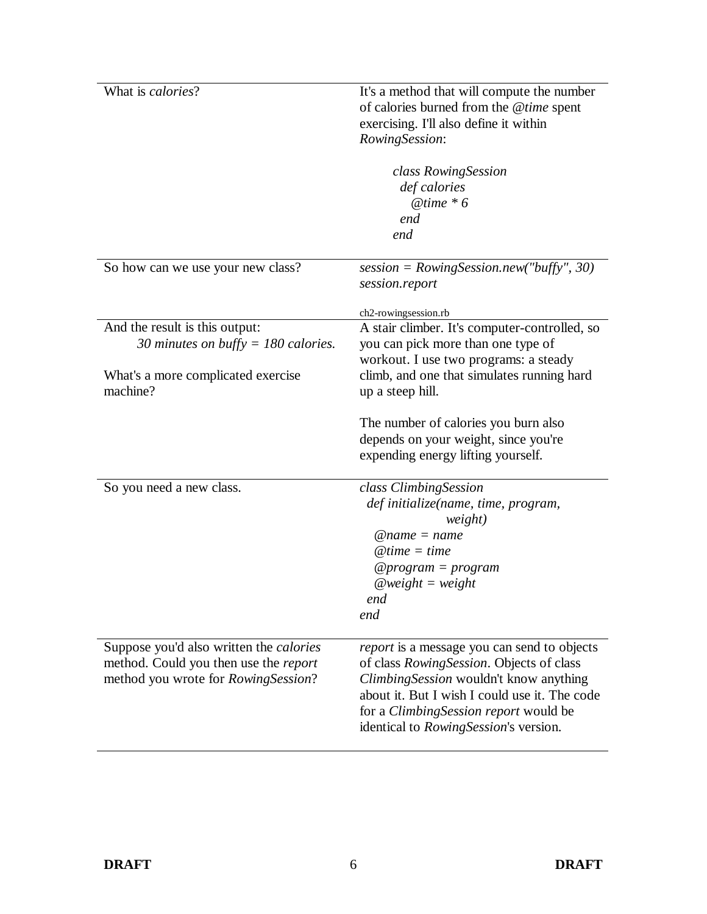| What is calories?                              | It's a method that will compute the number         |
|------------------------------------------------|----------------------------------------------------|
|                                                | of calories burned from the @time spent            |
|                                                | exercising. I'll also define it within             |
|                                                |                                                    |
|                                                | RowingSession:                                     |
|                                                | class RowingSession                                |
|                                                | def calories                                       |
|                                                | @time $*6$                                         |
|                                                |                                                    |
|                                                | end                                                |
|                                                | end                                                |
| So how can we use your new class?              | session = $RowingSession.new('buffer', 30)$        |
|                                                |                                                    |
|                                                | session.report                                     |
|                                                | ch2-rowingsession.rb                               |
| And the result is this output:                 | A stair climber. It's computer-controlled, so      |
| 30 minutes on buffy = 180 calories.            | you can pick more than one type of                 |
|                                                |                                                    |
|                                                | workout. I use two programs: a steady              |
| What's a more complicated exercise             | climb, and one that simulates running hard         |
| machine?                                       | up a steep hill.                                   |
|                                                |                                                    |
|                                                | The number of calories you burn also               |
|                                                | depends on your weight, since you're               |
|                                                | expending energy lifting yourself.                 |
| So you need a new class.                       | class ClimbingSession                              |
|                                                |                                                    |
|                                                | def initialize(name, time, program,<br>weight)     |
|                                                | $@name = name$                                     |
|                                                | $@time = time$                                     |
|                                                |                                                    |
|                                                | @program = $program$                               |
|                                                | $@weight = weight$                                 |
|                                                | end                                                |
|                                                | end                                                |
| Suppose you'd also written the <i>calories</i> | <i>report</i> is a message you can send to objects |
| method. Could you then use the report          | of class RowingSession. Objects of class           |
|                                                |                                                    |
| method you wrote for RowingSession?            | ClimbingSession wouldn't know anything             |
|                                                | about it. But I wish I could use it. The code      |
|                                                | for a Climbing Session report would be             |
|                                                | identical to RowingSession's version.              |
|                                                |                                                    |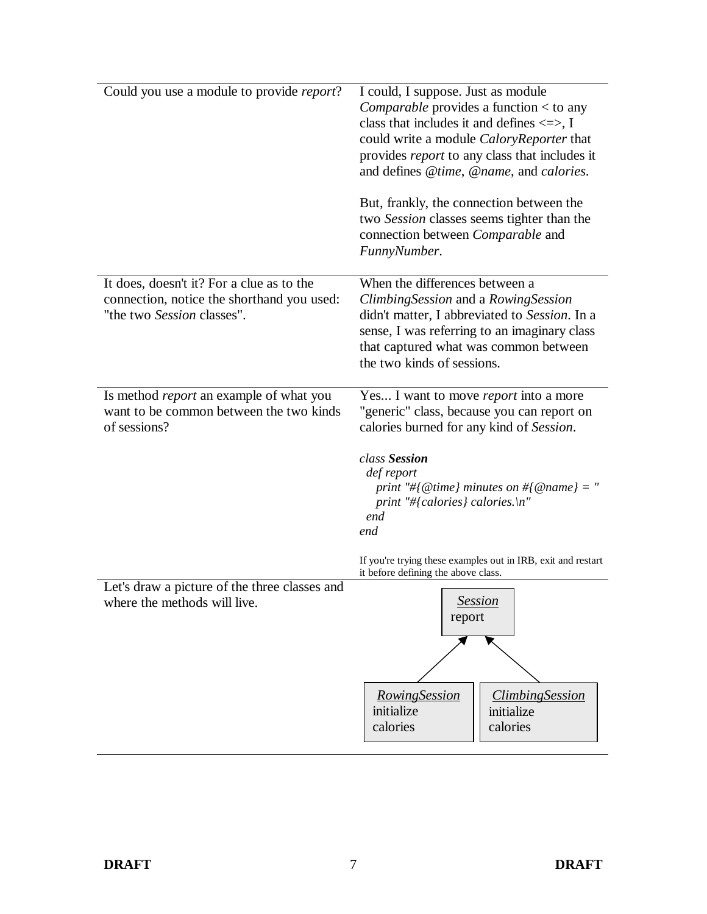| Could you use a module to provide <i>report</i> ? | I could, I suppose. Just as module                           |
|---------------------------------------------------|--------------------------------------------------------------|
|                                                   | <i>Comparable</i> provides a function $<$ to any             |
|                                                   |                                                              |
|                                                   | class that includes it and defines $\le$ >, I                |
|                                                   | could write a module CaloryReporter that                     |
|                                                   | provides <i>report</i> to any class that includes it         |
|                                                   | and defines @time, @name, and calories.                      |
|                                                   | But, frankly, the connection between the                     |
|                                                   | two Session classes seems tighter than the                   |
|                                                   | connection between <i>Comparable</i> and                     |
|                                                   | FunnyNumber.                                                 |
|                                                   |                                                              |
| It does, doesn't it? For a clue as to the         | When the differences between a                               |
| connection, notice the shorthand you used:        | Climbing Session and a Rowing Session                        |
| "the two Session classes".                        | didn't matter, I abbreviated to Session. In a                |
|                                                   | sense, I was referring to an imaginary class                 |
|                                                   | that captured what was common between                        |
|                                                   | the two kinds of sessions.                                   |
|                                                   |                                                              |
| Is method <i>report</i> an example of what you    | Yes I want to move report into a more                        |
| want to be common between the two kinds           | "generic" class, because you can report on                   |
| of sessions?                                      | calories burned for any kind of Session.                     |
|                                                   | class Session                                                |
|                                                   | def report                                                   |
|                                                   | print "#{@time} minutes on #{@name} = "                      |
|                                                   | print "#{calories} calories.\n"                              |
|                                                   | end                                                          |
|                                                   | end                                                          |
|                                                   | If you're trying these examples out in IRB, exit and restart |
|                                                   | it before defining the above class.                          |
| Let's draw a picture of the three classes and     |                                                              |
| where the methods will live.                      | <b>Session</b>                                               |
|                                                   | report                                                       |
|                                                   |                                                              |
|                                                   |                                                              |
|                                                   |                                                              |
|                                                   | <b>RowingSession</b><br><b>ClimbingSession</b>               |
|                                                   | initialize<br>initialize                                     |
|                                                   | calories<br>calories                                         |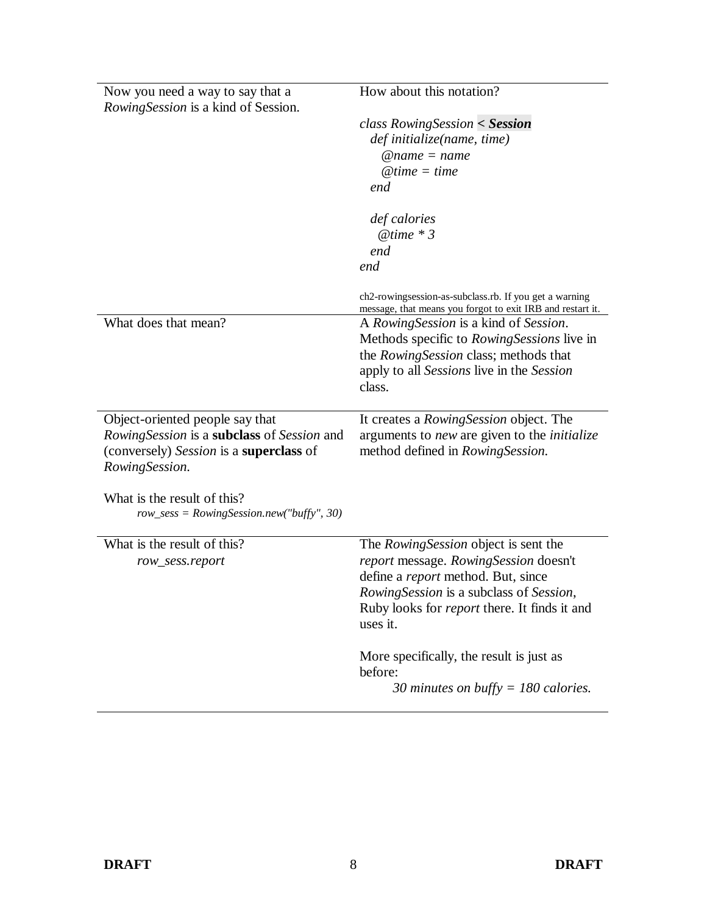| Now you need a way to say that a<br><i>RowingSession</i> is a kind of Session. | How about this notation?                                                                                             |
|--------------------------------------------------------------------------------|----------------------------------------------------------------------------------------------------------------------|
|                                                                                | $class RowingSession < S$ <i>ession</i>                                                                              |
|                                                                                | def initialize(name, time)                                                                                           |
|                                                                                | $@name = name$                                                                                                       |
|                                                                                | $@time = time$                                                                                                       |
|                                                                                | end                                                                                                                  |
|                                                                                | def calories                                                                                                         |
|                                                                                | $@time * 3$                                                                                                          |
|                                                                                | end                                                                                                                  |
|                                                                                | end                                                                                                                  |
|                                                                                | ch2-rowingsession-as-subclass.rb. If you get a warning<br>message, that means you forgot to exit IRB and restart it. |
| What does that mean?                                                           | A Rowing Session is a kind of Session.                                                                               |
|                                                                                | Methods specific to RowingSessions live in                                                                           |
|                                                                                | the RowingSession class; methods that                                                                                |
|                                                                                | apply to all Sessions live in the Session                                                                            |
|                                                                                | class.                                                                                                               |
|                                                                                |                                                                                                                      |
| Object-oriented people say that                                                | It creates a RowingSession object. The                                                                               |
| RowingSession is a subclass of Session and                                     | arguments to <i>new</i> are given to the <i>initialize</i>                                                           |
| (conversely) Session is a <b>superclass</b> of                                 | method defined in <i>RowingSession</i> .                                                                             |
| RowingSession.                                                                 |                                                                                                                      |
| What is the result of this?<br>$row\_sess = RowingsSession.new("buffer", 30)$  |                                                                                                                      |
| What is the result of this?                                                    | The Rowing Session object is sent the                                                                                |
| row_sess.report                                                                | report message. RowingSession doesn't                                                                                |
|                                                                                | define a report method. But, since                                                                                   |
|                                                                                | RowingSession is a subclass of Session,                                                                              |
|                                                                                | Ruby looks for <i>report</i> there. It finds it and<br>uses it.                                                      |
|                                                                                |                                                                                                                      |
|                                                                                | More specifically, the result is just as                                                                             |
|                                                                                | before:<br>30 minutes on buffy = 180 calories.                                                                       |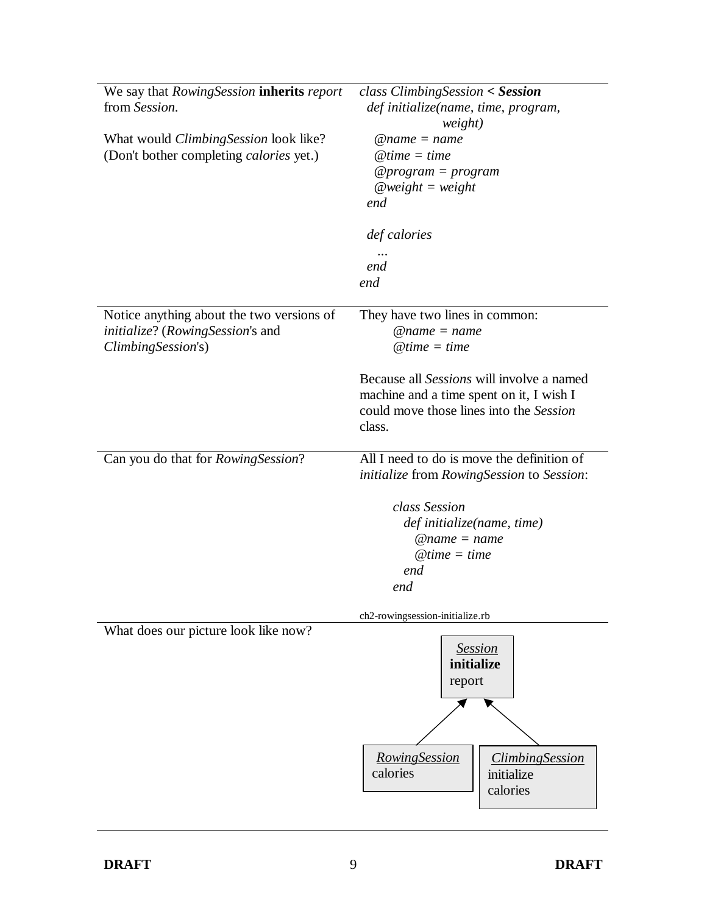| weight)<br>$@name = name$<br>$@time = time$<br>$@program = program$                                                                                   |
|-------------------------------------------------------------------------------------------------------------------------------------------------------|
| $@weight = weight$<br>end                                                                                                                             |
| def calories<br>end<br>end                                                                                                                            |
| They have two lines in common:<br>$@name = name$<br>$@time = time$                                                                                    |
| Because all <i>Sessions</i> will involve a named<br>machine and a time spent on it, I wish I<br>could move those lines into the Session<br>class.     |
| All I need to do is move the definition of<br>initialize from RowingSession to Session:                                                               |
| class Session<br>def initialize(name, time)<br>$@name = name$<br>$@time = time$<br>end<br>end                                                         |
| ch2-rowingsession-initialize.rb<br><b>Session</b><br>initialize<br>report<br>RowingSession<br><i><b>ClimbingSession</b></i><br>calories<br>initialize |
|                                                                                                                                                       |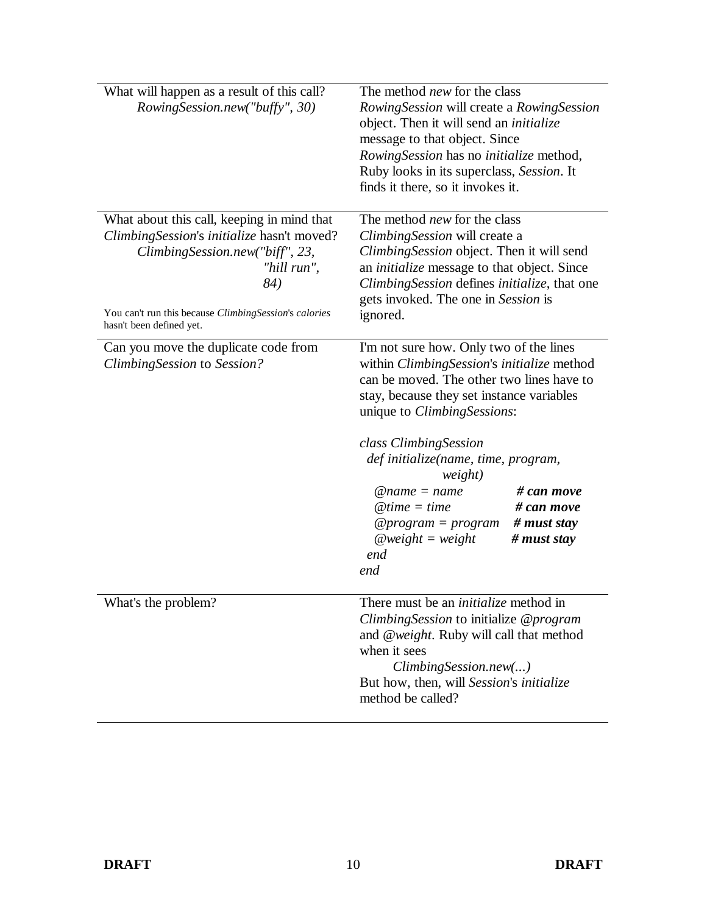| What will happen as a result of this call?<br>RowingSession.new("buffy", 30)                                                                                                                                                           | The method <i>new</i> for the class<br>RowingSession will create a RowingSession<br>object. Then it will send an <i>initialize</i><br>message to that object. Since<br>RowingSession has no initialize method,<br>Ruby looks in its superclass, Session. It<br>finds it there, so it invokes it.                                                                                                                                                              |
|----------------------------------------------------------------------------------------------------------------------------------------------------------------------------------------------------------------------------------------|---------------------------------------------------------------------------------------------------------------------------------------------------------------------------------------------------------------------------------------------------------------------------------------------------------------------------------------------------------------------------------------------------------------------------------------------------------------|
| What about this call, keeping in mind that<br>ClimbingSession's initialize hasn't moved?<br>ClimbingSession.new("biff", 23,<br>"hill run",<br>84)<br>You can't run this because ClimbingSession's calories<br>hasn't been defined yet. | The method <i>new</i> for the class<br>Climbing Session will create a<br>Climbing Session object. Then it will send<br>an <i>initialize</i> message to that object. Since<br>Climbing Session defines initialize, that one<br>gets invoked. The one in Session is<br>ignored.                                                                                                                                                                                 |
| Can you move the duplicate code from<br>ClimbingSession to Session?                                                                                                                                                                    | I'm not sure how. Only two of the lines<br>within ClimbingSession's initialize method<br>can be moved. The other two lines have to<br>stay, because they set instance variables<br>unique to <i>Climbing Sessions</i> :<br>class Climbing Session<br>def initialize(name, time, program,<br>weight)<br># can move<br>$@name = name$<br># can move<br>$@time = time$<br># must stay<br>$@program = program$<br>$@weight = weight$<br># must stay<br>end<br>end |
| What's the problem?                                                                                                                                                                                                                    | There must be an <i>initialize</i> method in<br>Climbing Session to initialize @program<br>and @weight. Ruby will call that method<br>when it sees<br>ClimbingSession.new()<br>But how, then, will Session's initialize<br>method be called?                                                                                                                                                                                                                  |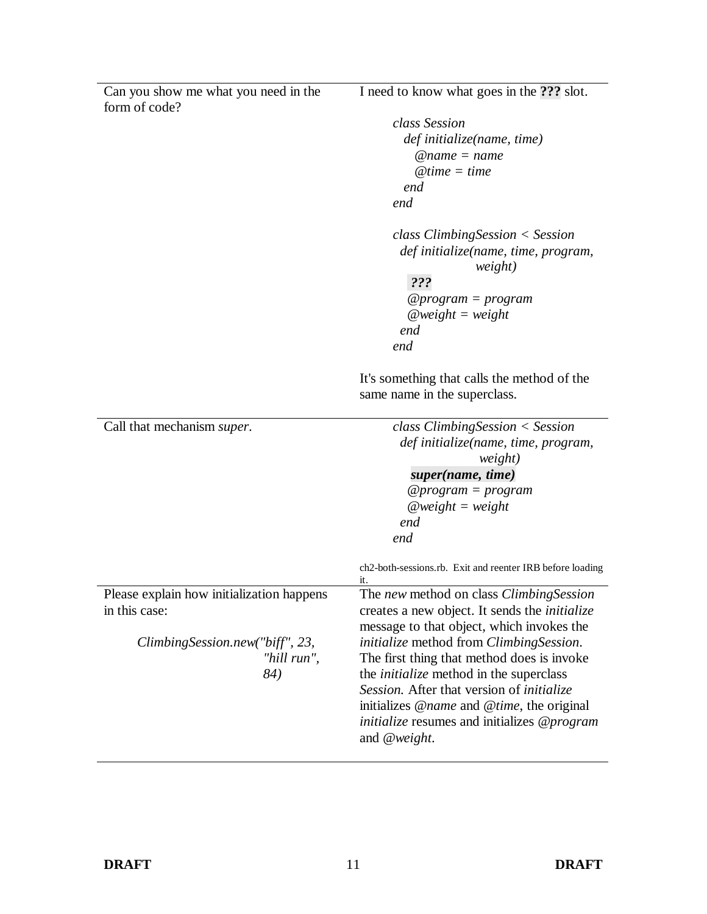| Can you show me what you need in the      | I need to know what goes in the ??? slot.                                  |
|-------------------------------------------|----------------------------------------------------------------------------|
| form of code?                             |                                                                            |
|                                           | class Session                                                              |
|                                           | def initialize(name, time)<br>$@name = name$                               |
|                                           | $@time = time$                                                             |
|                                           | end                                                                        |
|                                           | end                                                                        |
|                                           |                                                                            |
|                                           | $class \, ClimbingSession < Session$                                       |
|                                           | def initialize(name, time, program,<br>weight)                             |
|                                           | ???                                                                        |
|                                           | @program = program                                                         |
|                                           | $@weight = weight$                                                         |
|                                           | end                                                                        |
|                                           | end                                                                        |
|                                           | It's something that calls the method of the                                |
|                                           | same name in the superclass.                                               |
|                                           |                                                                            |
| Call that mechanism super.                | $class \, ClimbingSession < Session$                                       |
|                                           | def initialize(name, time, program,<br>weight)                             |
|                                           | super(name, time)                                                          |
|                                           | $@program = program$                                                       |
|                                           | $@weight = weight$                                                         |
|                                           | end                                                                        |
|                                           | end                                                                        |
|                                           | ch2-both-sessions.rb. Exit and reenter IRB before loading<br>it.           |
| Please explain how initialization happens | The new method on class Climbing Session                                   |
| in this case:                             | creates a new object. It sends the <i>initialize</i>                       |
|                                           | message to that object, which invokes the                                  |
| ClimbingSession.new("biff", 23,           | <i>initialize</i> method from <i>Climbing Session</i> .                    |
| "hill run",                               | The first thing that method does is invoke                                 |
| 84)                                       | the <i>initialize</i> method in the superclass                             |
|                                           | Session. After that version of <i>initialize</i>                           |
|                                           | initializes @name and @time, the original                                  |
|                                           |                                                                            |
|                                           | <i>initialize</i> resumes and initializes @ <i>program</i><br>and @weight. |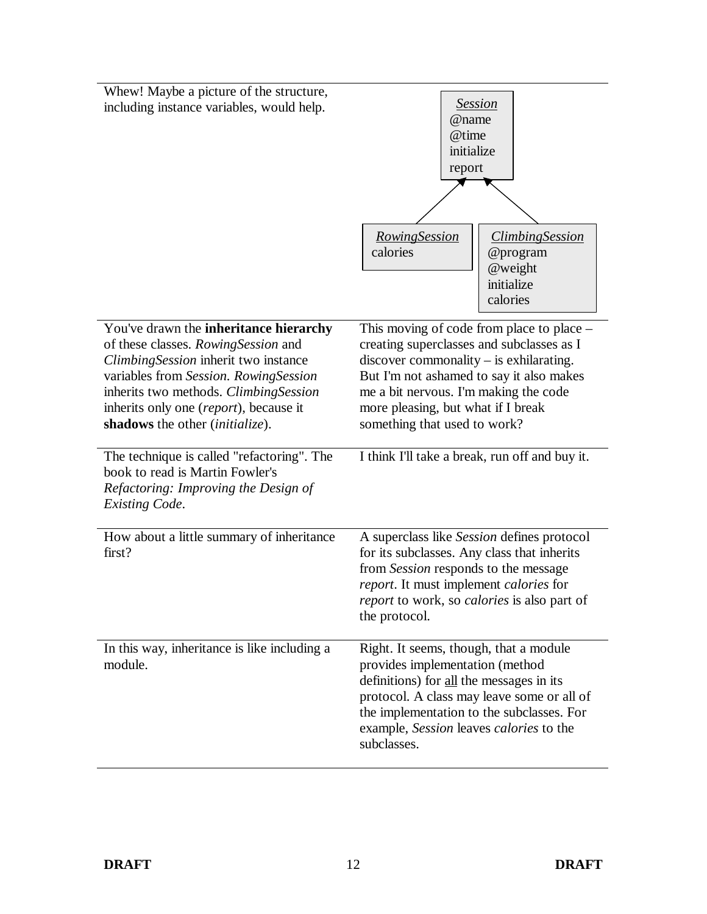| Whew! Maybe a picture of the structure,<br>including instance variables, would help.                                                                                                                                                                                                                  | <b>Session</b><br>@name<br>@time<br>initialize<br>report<br><b>RowingSession</b><br><b>ClimbingSession</b><br>calories<br>@program<br>@weight<br>initialize                                                                                                                                                  |
|-------------------------------------------------------------------------------------------------------------------------------------------------------------------------------------------------------------------------------------------------------------------------------------------------------|--------------------------------------------------------------------------------------------------------------------------------------------------------------------------------------------------------------------------------------------------------------------------------------------------------------|
| You've drawn the inheritance hierarchy<br>of these classes. RowingSession and<br>ClimbingSession inherit two instance<br>variables from Session. RowingSession<br>inherits two methods. ClimbingSession<br>inherits only one ( <i>report</i> ), because it<br>shadows the other <i>(initialize)</i> . | calories<br>This moving of code from place to place –<br>creating superclasses and subclasses as I<br>$discover$ commonality $-$ is exhilarating.<br>But I'm not ashamed to say it also makes<br>me a bit nervous. I'm making the code<br>more pleasing, but what if I break<br>something that used to work? |
| The technique is called "refactoring". The<br>book to read is Martin Fowler's<br>Refactoring: Improving the Design of<br><b>Existing Code.</b>                                                                                                                                                        | I think I'll take a break, run off and buy it.                                                                                                                                                                                                                                                               |
| How about a little summary of inheritance<br>first?                                                                                                                                                                                                                                                   | A superclass like Session defines protocol<br>for its subclasses. Any class that inherits<br>from Session responds to the message<br>report. It must implement calories for<br>report to work, so calories is also part of<br>the protocol.                                                                  |
| In this way, inheritance is like including a<br>module.                                                                                                                                                                                                                                               | Right. It seems, though, that a module<br>provides implementation (method<br>definitions) for all the messages in its<br>protocol. A class may leave some or all of<br>the implementation to the subclasses. For<br>example, Session leaves calories to the<br>subclasses.                                   |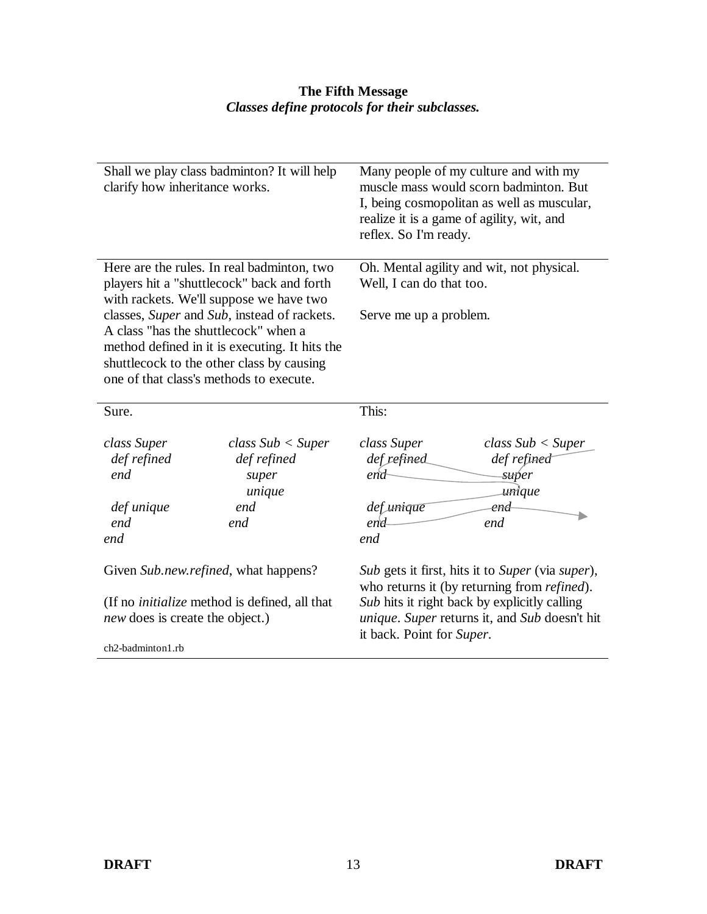#### **The Fifth Message**  *Classes define protocols for their subclasses.*

| clarify how inheritance works.                                                                 | Shall we play class badminton? It will help                                                 | Many people of my culture and with my<br>muscle mass would scorn badminton. But<br>I, being cosmopolitan as well as muscular,<br>realize it is a game of agility, wit, and<br>reflex. So I'm ready. |  |
|------------------------------------------------------------------------------------------------|---------------------------------------------------------------------------------------------|-----------------------------------------------------------------------------------------------------------------------------------------------------------------------------------------------------|--|
| Here are the rules. In real badminton, two                                                     |                                                                                             | Oh. Mental agility and wit, not physical.                                                                                                                                                           |  |
|                                                                                                | players hit a "shuttlecock" back and forth<br>with rackets. We'll suppose we have two       | Well, I can do that too.                                                                                                                                                                            |  |
|                                                                                                | classes, Super and Sub, instead of rackets.                                                 | Serve me up a problem.                                                                                                                                                                              |  |
| A class "has the shuttlecock" when a                                                           |                                                                                             |                                                                                                                                                                                                     |  |
|                                                                                                | method defined in it is executing. It hits the<br>shuttlecock to the other class by causing |                                                                                                                                                                                                     |  |
| one of that class's methods to execute.                                                        |                                                                                             |                                                                                                                                                                                                     |  |
|                                                                                                |                                                                                             |                                                                                                                                                                                                     |  |
| Sure.                                                                                          |                                                                                             | This:                                                                                                                                                                                               |  |
| class Super<br>def refined<br>end<br>def unique<br>end<br>end                                  | class Sub < Super<br>def refined<br>super<br>unique<br>end<br>end                           | class Super<br>class Sub < Super<br>def refined<br>def refined<br>end<br><del>su</del> per<br>unique<br>def unique<br>end<br>end<br>end<br>end                                                      |  |
|                                                                                                | Given Sub.new.refined, what happens?                                                        | Sub gets it first, hits it to Super (via super),<br>who returns it (by returning from <i>refined</i> ).                                                                                             |  |
| (If no <i>initialize</i> method is defined, all that<br><i>new</i> does is create the object.) |                                                                                             | Sub hits it right back by explicitly calling<br>unique. Super returns it, and Sub doesn't hit<br>it back. Point for Super.                                                                          |  |
| ch2-badminton1.rb                                                                              |                                                                                             |                                                                                                                                                                                                     |  |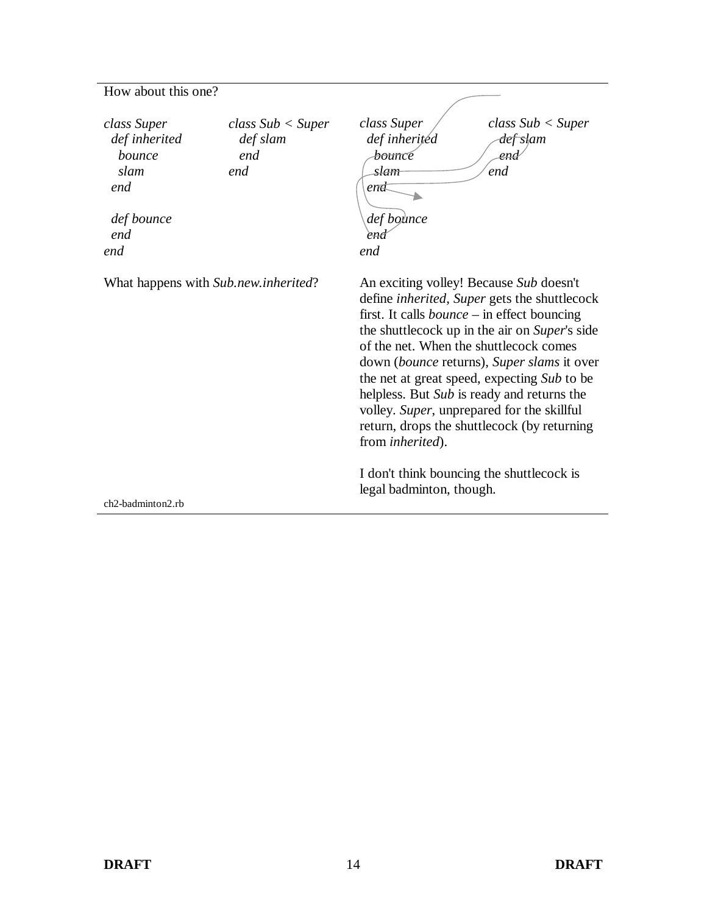### How about this one?

| class Super<br>def inherited<br>bounce<br>slam<br>end<br>def bounce<br>end<br>end | class Sub < Super<br>def slam<br>end<br>end | class Super<br>def inherited<br><del>bounc</del> e<br>slam<br>en <del>d</del><br>def bounce<br>eno<br>end                                                                                                                                                                                                                                                                                                                              | class Sub < Super<br><del>def sl</del> am<br>end<br>end                                                                                                    |
|-----------------------------------------------------------------------------------|---------------------------------------------|----------------------------------------------------------------------------------------------------------------------------------------------------------------------------------------------------------------------------------------------------------------------------------------------------------------------------------------------------------------------------------------------------------------------------------------|------------------------------------------------------------------------------------------------------------------------------------------------------------|
|                                                                                   | What happens with Sub.new.inherited?        | An exciting volley! Because Sub doesn't<br>first. It calls <i>bounce</i> – in effect bouncing<br>of the net. When the shuttlecock comes<br>the net at great speed, expecting Sub to be<br>helpless. But Sub is ready and returns the<br>volley. Super, unprepared for the skillful<br>return, drops the shuttlecock (by returning<br>from <i>inherited</i> ).<br>I don't think bouncing the shuttlecock is<br>legal badminton, though. | define <i>inherited</i> , <i>Super</i> gets the shuttlecock<br>the shuttlecock up in the air on Super's side<br>down (bounce returns), Super slams it over |
| ch2-badminton2.rb                                                                 |                                             |                                                                                                                                                                                                                                                                                                                                                                                                                                        |                                                                                                                                                            |

 $\overline{\phantom{0}}$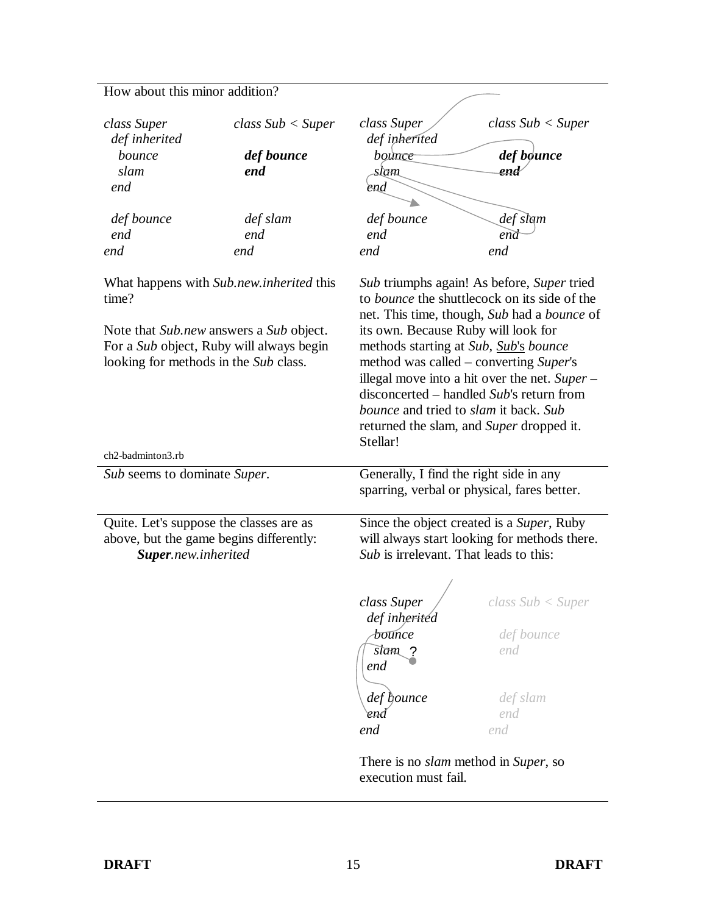### How about this minor addition?

| class Super                                                         | class Sub < Super                                                                                                               | class Super                                                                                                                                     | class Sub < Super                                                                                                                                                                                                                                                                                                                          |
|---------------------------------------------------------------------|---------------------------------------------------------------------------------------------------------------------------------|-------------------------------------------------------------------------------------------------------------------------------------------------|--------------------------------------------------------------------------------------------------------------------------------------------------------------------------------------------------------------------------------------------------------------------------------------------------------------------------------------------|
| def inherited                                                       |                                                                                                                                 | def inherited                                                                                                                                   |                                                                                                                                                                                                                                                                                                                                            |
| bounce                                                              | def bounce                                                                                                                      | bounce                                                                                                                                          | def bøunce                                                                                                                                                                                                                                                                                                                                 |
| slam                                                                | end                                                                                                                             | slam                                                                                                                                            | end                                                                                                                                                                                                                                                                                                                                        |
| end                                                                 |                                                                                                                                 | end                                                                                                                                             |                                                                                                                                                                                                                                                                                                                                            |
|                                                                     |                                                                                                                                 |                                                                                                                                                 |                                                                                                                                                                                                                                                                                                                                            |
| def bounce                                                          | def slam                                                                                                                        | def bounce                                                                                                                                      | def slam                                                                                                                                                                                                                                                                                                                                   |
| end                                                                 | end                                                                                                                             | end                                                                                                                                             | end                                                                                                                                                                                                                                                                                                                                        |
| end                                                                 | end                                                                                                                             | end                                                                                                                                             | end                                                                                                                                                                                                                                                                                                                                        |
| time?<br>looking for methods in the Sub class.<br>ch2-badminton3.rb | What happens with Sub.new.inherited this<br>Note that Sub.new answers a Sub object.<br>For a Sub object, Ruby will always begin | its own. Because Ruby will look for<br>methods starting at Sub, Sub's bounce<br><i>bounce</i> and tried to <i>slam</i> it back. Sub<br>Stellar! | Sub triumphs again! As before, Super tried<br>to <i>bounce</i> the shuttlecock on its side of the<br>net. This time, though, Sub had a bounce of<br>method was called – converting Super's<br>illegal move into a hit over the net. Super –<br>disconcerted – handled Sub's return from<br>returned the slam, and <i>Super</i> dropped it. |
|                                                                     |                                                                                                                                 | Generally, I find the right side in any                                                                                                         |                                                                                                                                                                                                                                                                                                                                            |
| Sub seems to dominate Super.                                        |                                                                                                                                 |                                                                                                                                                 | sparring, verbal or physical, fares better.                                                                                                                                                                                                                                                                                                |
| Quite. Let's suppose the classes are as<br>Super.new.inherited      | above, but the game begins differently:                                                                                         | Since the object created is a Super, Ruby<br>will always start looking for methods there.<br>Sub is irrelevant. That leads to this:             |                                                                                                                                                                                                                                                                                                                                            |
|                                                                     |                                                                                                                                 | class Super                                                                                                                                     | class Sub < Super                                                                                                                                                                                                                                                                                                                          |
|                                                                     |                                                                                                                                 | def inheritéd                                                                                                                                   |                                                                                                                                                                                                                                                                                                                                            |
|                                                                     |                                                                                                                                 | <del>Ьои</del> псе                                                                                                                              | def bounce                                                                                                                                                                                                                                                                                                                                 |
|                                                                     |                                                                                                                                 | slam ?                                                                                                                                          | end                                                                                                                                                                                                                                                                                                                                        |
|                                                                     |                                                                                                                                 | end                                                                                                                                             |                                                                                                                                                                                                                                                                                                                                            |
|                                                                     |                                                                                                                                 |                                                                                                                                                 |                                                                                                                                                                                                                                                                                                                                            |
|                                                                     |                                                                                                                                 | def bounce                                                                                                                                      | def slam                                                                                                                                                                                                                                                                                                                                   |
|                                                                     |                                                                                                                                 | end                                                                                                                                             | end                                                                                                                                                                                                                                                                                                                                        |
|                                                                     |                                                                                                                                 | end                                                                                                                                             | end                                                                                                                                                                                                                                                                                                                                        |
|                                                                     |                                                                                                                                 | There is no <i>slam</i> method in <i>Super</i> , so<br>execution must fail.                                                                     |                                                                                                                                                                                                                                                                                                                                            |

 $\overline{a}$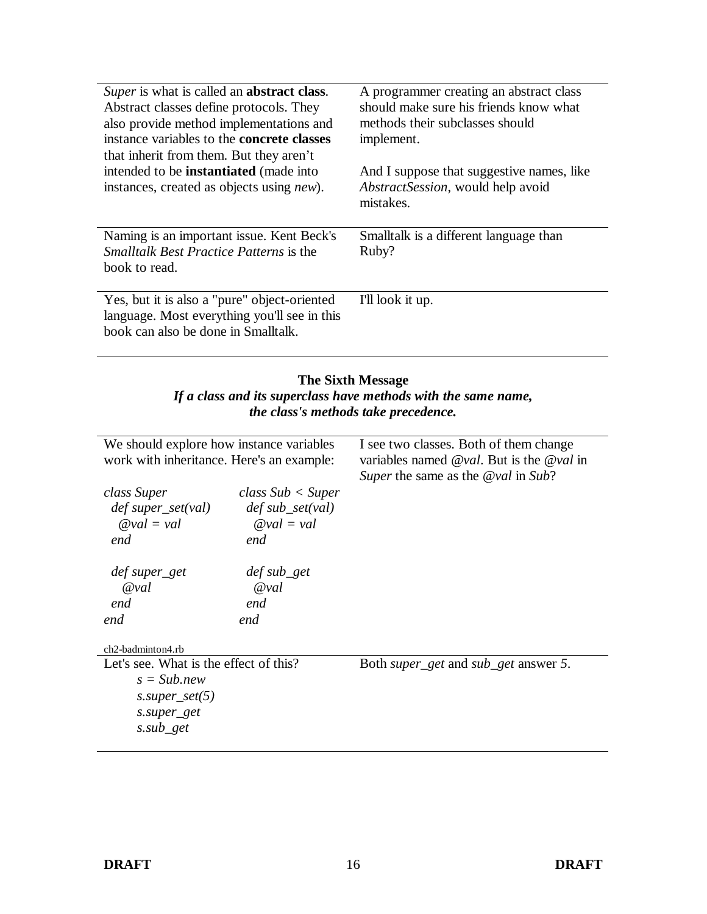| Super is what is called an <b>abstract class</b> .<br>Abstract classes define protocols. They<br>also provide method implementations and<br>instance variables to the <b>concrete classes</b><br>that inherit from them. But they aren't<br>intended to be <b>instantiated</b> (made into<br>instances, created as objects using <i>new</i> ). | A programmer creating an abstract class<br>should make sure his friends know what<br>methods their subclasses should<br>implement.<br>And I suppose that suggestive names, like<br><i>AbstractSession</i> , would help avoid<br>mistakes. |
|------------------------------------------------------------------------------------------------------------------------------------------------------------------------------------------------------------------------------------------------------------------------------------------------------------------------------------------------|-------------------------------------------------------------------------------------------------------------------------------------------------------------------------------------------------------------------------------------------|
| Naming is an important issue. Kent Beck's<br><i>Smalltalk Best Practice Patterns is the</i><br>book to read.                                                                                                                                                                                                                                   | Smalltalk is a different language than<br>Ruby?                                                                                                                                                                                           |
| Yes, but it is also a "pure" object-oriented<br>language. Most everything you'll see in this<br>book can also be done in Smalltalk.                                                                                                                                                                                                            | I'll look it up.                                                                                                                                                                                                                          |

#### **The Sixth Message**  *If a class and its superclass have methods with the same name, the class's methods take precedence.*

| We should explore how instance variables<br>work with inheritance. Here's an example: |                                           | I see two classes. Both of them change<br>variables named $Qval$ . But is the $Qval$ in<br>Super the same as the $Qval$ in Sub? |
|---------------------------------------------------------------------------------------|-------------------------------------------|---------------------------------------------------------------------------------------------------------------------------------|
| class Super                                                                           | class Sub < Super                         |                                                                                                                                 |
|                                                                                       |                                           |                                                                                                                                 |
| $def super_set(val)$                                                                  | $def sub_set(val)$                        |                                                                                                                                 |
| $Qval = val$                                                                          | $Qval = val$                              |                                                                                                                                 |
| end                                                                                   | end                                       |                                                                                                                                 |
|                                                                                       |                                           |                                                                                                                                 |
| def super_get                                                                         | $def sub{\underline{\hspace{1pt}\n}} set$ |                                                                                                                                 |
| $Q$ val                                                                               | $Q$ val                                   |                                                                                                                                 |
|                                                                                       |                                           |                                                                                                                                 |
| end                                                                                   | end                                       |                                                                                                                                 |
| end                                                                                   | end                                       |                                                                                                                                 |
|                                                                                       |                                           |                                                                                                                                 |
| ch2-badminton4.rb                                                                     |                                           |                                                                                                                                 |
| Let's see. What is the effect of this?                                                |                                           | Both <i>super_get</i> and <i>sub_get</i> answer 5.                                                                              |
| $s = Sub.new$                                                                         |                                           |                                                                                                                                 |
| $s. super\_set(5)$                                                                    |                                           |                                                                                                                                 |
|                                                                                       |                                           |                                                                                                                                 |
| s.super_get                                                                           |                                           |                                                                                                                                 |
| s.sub_get                                                                             |                                           |                                                                                                                                 |
|                                                                                       |                                           |                                                                                                                                 |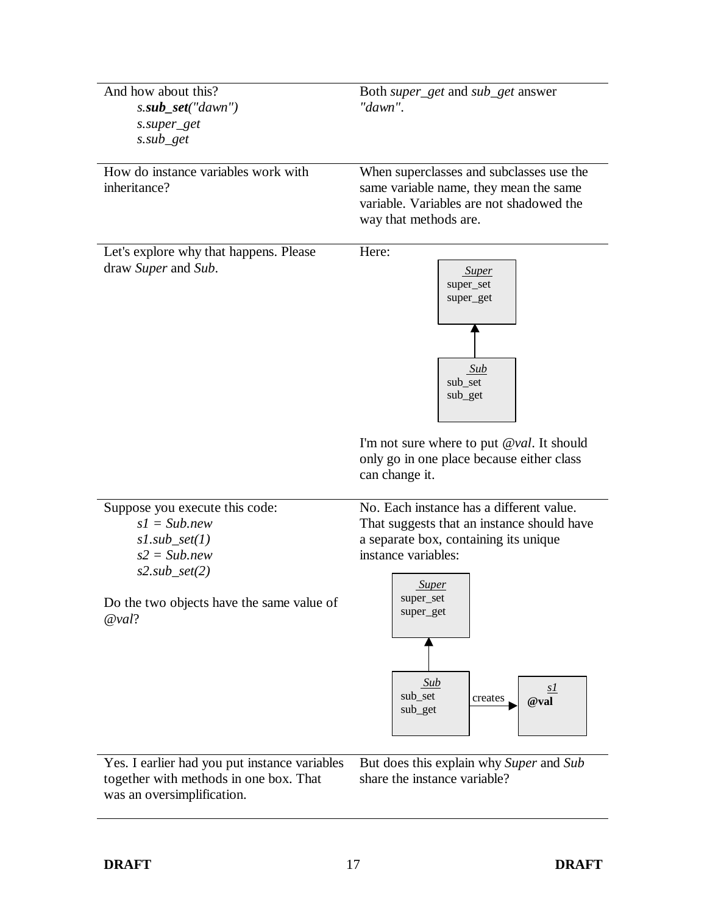| And how about this?                                                                     | Both <i>super_get</i> and <i>sub_get</i> answer                         |  |
|-----------------------------------------------------------------------------------------|-------------------------------------------------------------------------|--|
| $s.sub_set("dawn")$                                                                     | "dawn".                                                                 |  |
| s.super_get                                                                             |                                                                         |  |
| $s.sub\_get$                                                                            |                                                                         |  |
|                                                                                         |                                                                         |  |
| How do instance variables work with                                                     | When superclasses and subclasses use the                                |  |
| inheritance?                                                                            | same variable name, they mean the same                                  |  |
|                                                                                         | variable. Variables are not shadowed the                                |  |
|                                                                                         | way that methods are.                                                   |  |
|                                                                                         |                                                                         |  |
| Let's explore why that happens. Please                                                  | Here:                                                                   |  |
| draw Super and Sub.                                                                     | <b>Super</b>                                                            |  |
|                                                                                         | super_set                                                               |  |
|                                                                                         | super_get                                                               |  |
|                                                                                         |                                                                         |  |
|                                                                                         |                                                                         |  |
|                                                                                         |                                                                         |  |
|                                                                                         | Sub                                                                     |  |
|                                                                                         | sub_set                                                                 |  |
|                                                                                         | sub_get                                                                 |  |
|                                                                                         |                                                                         |  |
|                                                                                         |                                                                         |  |
|                                                                                         | I'm not sure where to put $@val$ . It should                            |  |
|                                                                                         | only go in one place because either class                               |  |
|                                                                                         | can change it.                                                          |  |
|                                                                                         |                                                                         |  |
| Suppose you execute this code:                                                          | No. Each instance has a different value.                                |  |
| $s1 = Sub.new$                                                                          | That suggests that an instance should have                              |  |
| $s1.sub_set(1)$                                                                         | a separate box, containing its unique                                   |  |
| $s2 = Sub.new$                                                                          | instance variables:                                                     |  |
| $s2.sub_set(2)$                                                                         |                                                                         |  |
|                                                                                         | <b>Super</b>                                                            |  |
| Do the two objects have the same value of                                               | super_set<br>super_get                                                  |  |
| @val?                                                                                   |                                                                         |  |
|                                                                                         |                                                                         |  |
|                                                                                         |                                                                         |  |
|                                                                                         |                                                                         |  |
|                                                                                         | Sub<br>s1<br>sub_set                                                    |  |
|                                                                                         | creates<br>@val<br>sub_get                                              |  |
|                                                                                         |                                                                         |  |
|                                                                                         |                                                                         |  |
|                                                                                         |                                                                         |  |
| Yes. I earlier had you put instance variables<br>together with methods in one box. That | But does this explain why Super and Sub<br>share the instance variable? |  |
| was an oversimplification.                                                              |                                                                         |  |
|                                                                                         |                                                                         |  |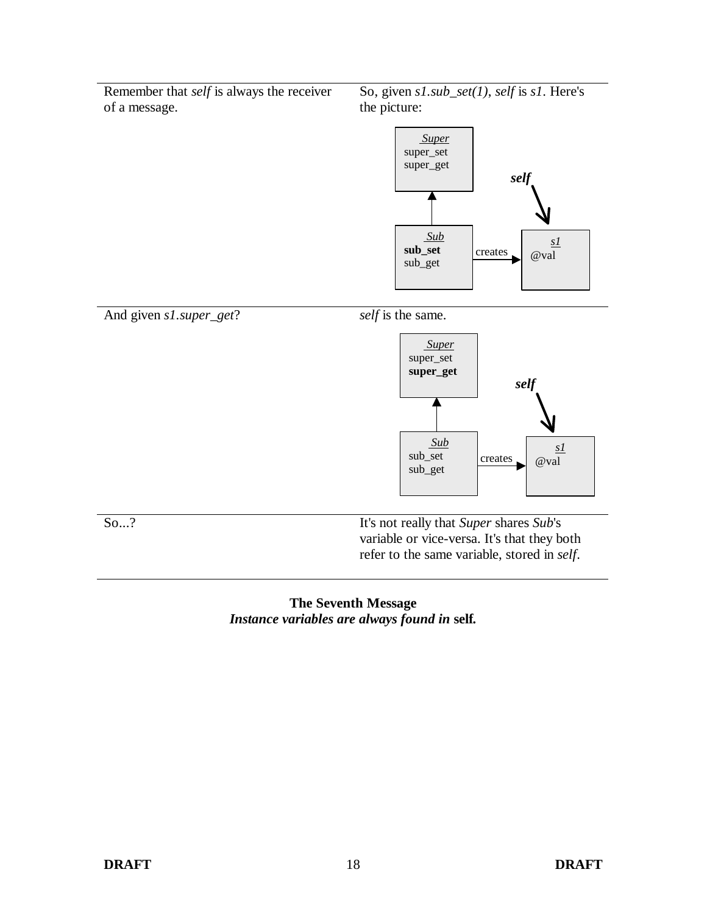Remember that *self* is always the receiver of a message.

So, given *s1.sub\_set(1)*, *self* is *s1*. Here's the picture:





### **The Seventh Message**  *Instance variables are always found in* **self***.*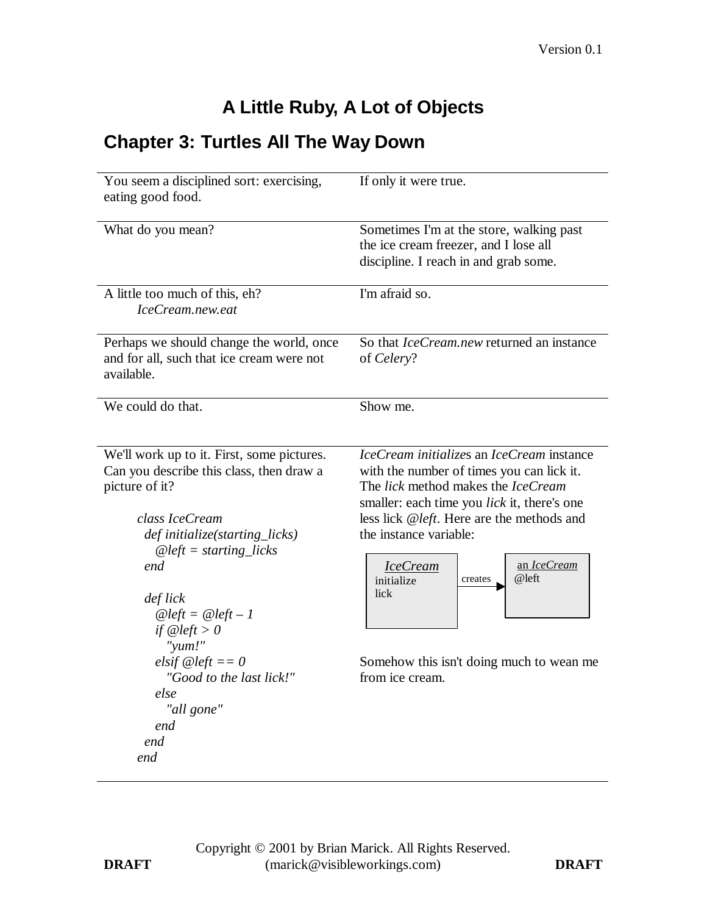# **A Little Ruby, A Lot of Objects**

## **Chapter 3: Turtles All The Way Down**

| You seem a disciplined sort: exercising,<br>eating good food.                                                                                                                                                                                                     | If only it were true.                                                                                                                                                                                                                                                                                                          |  |
|-------------------------------------------------------------------------------------------------------------------------------------------------------------------------------------------------------------------------------------------------------------------|--------------------------------------------------------------------------------------------------------------------------------------------------------------------------------------------------------------------------------------------------------------------------------------------------------------------------------|--|
| What do you mean?                                                                                                                                                                                                                                                 | Sometimes I'm at the store, walking past<br>the ice cream freezer, and I lose all<br>discipline. I reach in and grab some.                                                                                                                                                                                                     |  |
| A little too much of this, eh?<br>IceCream.new.eat                                                                                                                                                                                                                | I'm afraid so.                                                                                                                                                                                                                                                                                                                 |  |
| Perhaps we should change the world, once<br>and for all, such that ice cream were not<br>available.                                                                                                                                                               | So that <i>IceCream.new</i> returned an instance<br>of Celery?                                                                                                                                                                                                                                                                 |  |
| We could do that.                                                                                                                                                                                                                                                 | Show me.                                                                                                                                                                                                                                                                                                                       |  |
| We'll work up to it. First, some pictures.<br>Can you describe this class, then draw a<br>picture of it?<br>class IceCream<br>def initialize(starting_licks)<br>$@left = starting\_licks$<br>end<br>def lick<br>$@left = @left - 1$<br>if $@left>0$<br>" $yum!$ " | IceCream initializes an IceCream instance<br>with the number of times you can lick it.<br>The lick method makes the IceCream<br>smaller: each time you lick it, there's one<br>less lick @left. Here are the methods and<br>the instance variable:<br>an IceCream<br><b>IceCream</b><br>@left<br>initialize<br>creates<br>lick |  |
| elsif $@left == 0$<br>"Good to the last lick!"<br>else<br>"all gone"<br>end<br>end<br>end                                                                                                                                                                         | Somehow this isn't doing much to wean me<br>from ice cream.                                                                                                                                                                                                                                                                    |  |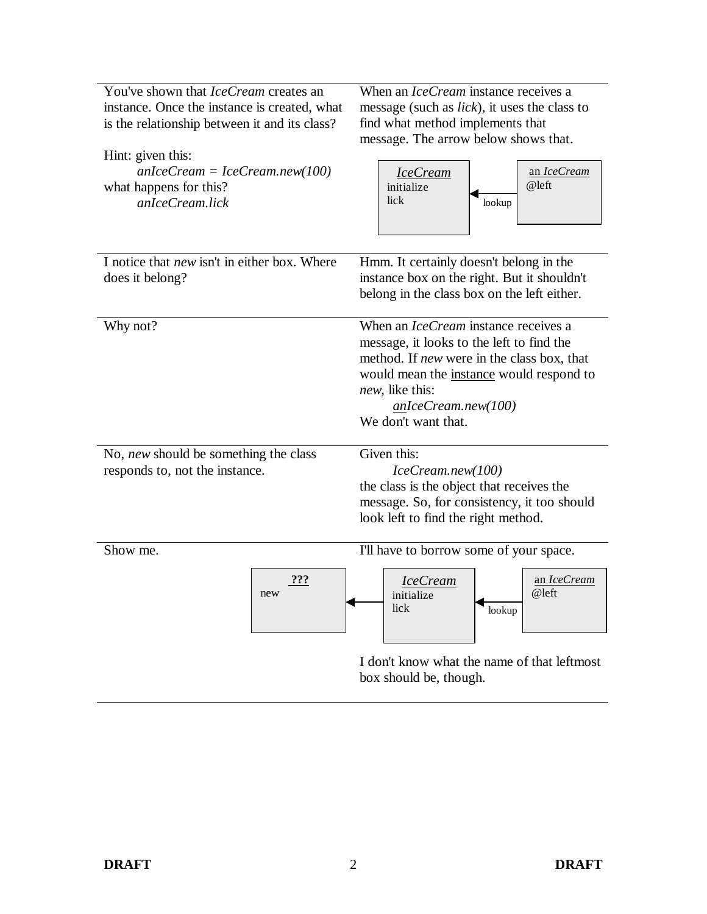| You've shown that <i>IceCream</i> creates an<br>instance. Once the instance is created, what<br>is the relationship between it and its class?<br>Hint: given this:<br>$anIceCream = IceCream.new(100)$<br>what happens for this?<br>anIceCream.lick | When an <i>IceCream</i> instance receives a<br>message (such as <i>lick</i> ), it uses the class to<br>find what method implements that<br>message. The arrow below shows that.<br>an IceCream<br><b>IceCream</b><br>@left<br>initialize<br>lick<br>lookup |
|-----------------------------------------------------------------------------------------------------------------------------------------------------------------------------------------------------------------------------------------------------|------------------------------------------------------------------------------------------------------------------------------------------------------------------------------------------------------------------------------------------------------------|
| I notice that new isn't in either box. Where<br>does it belong?                                                                                                                                                                                     | Hmm. It certainly doesn't belong in the<br>instance box on the right. But it shouldn't<br>belong in the class box on the left either.                                                                                                                      |
| Why not?                                                                                                                                                                                                                                            | When an <i>IceCream</i> instance receives a<br>message, it looks to the left to find the<br>method. If <i>new</i> were in the class box, that<br>would mean the instance would respond to<br>new, like this:<br>anIceCream.new(100)<br>We don't want that. |
| No, new should be something the class<br>responds to, not the instance.                                                                                                                                                                             | Given this:<br>IceCream.new(100)<br>the class is the object that receives the<br>message. So, for consistency, it too should<br>look left to find the right method.                                                                                        |
| Show me.<br>???<br>new                                                                                                                                                                                                                              | I'll have to borrow some of your space.<br><u>an IceCream</u><br><u>IceCream</u><br>@left<br>initialize<br>lick<br>lookup                                                                                                                                  |
|                                                                                                                                                                                                                                                     | I don't know what the name of that leftmost<br>box should be, though.                                                                                                                                                                                      |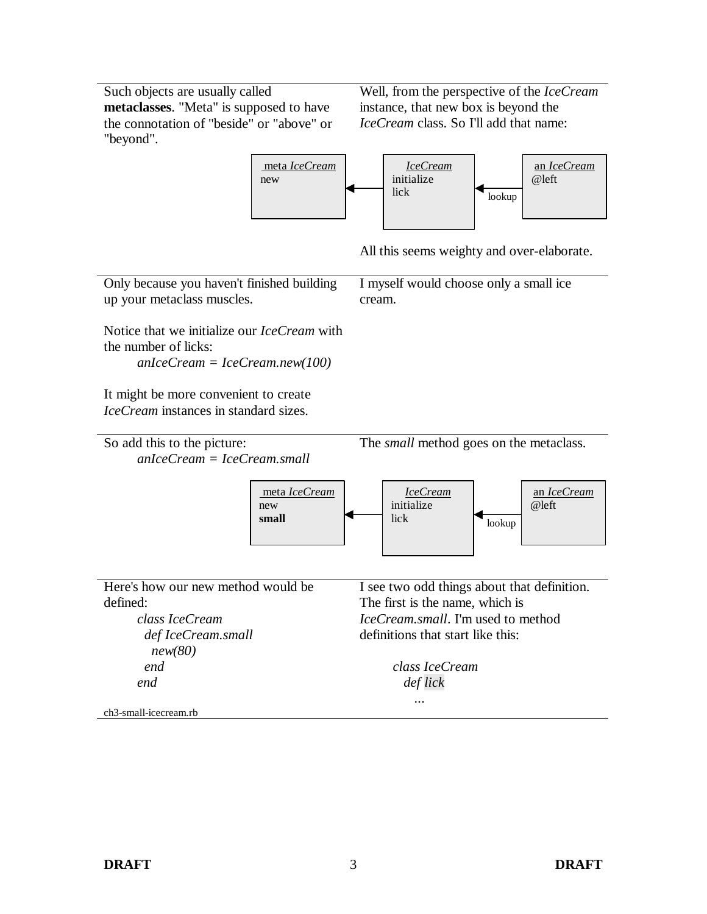Such objects are usually called **metaclasses**. "Meta" is supposed to have the connotation of "beside" or "above" or "beyond".

Well, from the perspective of the *IceCream* instance, that new box is beyond the *IceCream* class. So I'll add that name:



All this seems weighty and over-elaborate.

*IceCream.small*. I'm used to method

definitions that start like this:

*class IceCream def lick ...*

Only because you haven't finished building up your metaclass muscles. Notice that we initialize our *IceCream* with the number of licks: *anIceCream = IceCream.new(100)* It might be more convenient to create *IceCream* instances in standard sizes. I myself would choose only a small ice cream. So add this to the picture: *anIceCream = IceCream.small* The *small* method goes on the metaclass. Here's how our new method would be defined: I see two odd things about that definition. The first is the name, which is *IceCream* initialize  $\frac{1}{\log n}$ an *IceCream* @left meta *IceCream* new **small**

*class IceCream def IceCream.small new(80) end end*

ch3-small-icecream.rb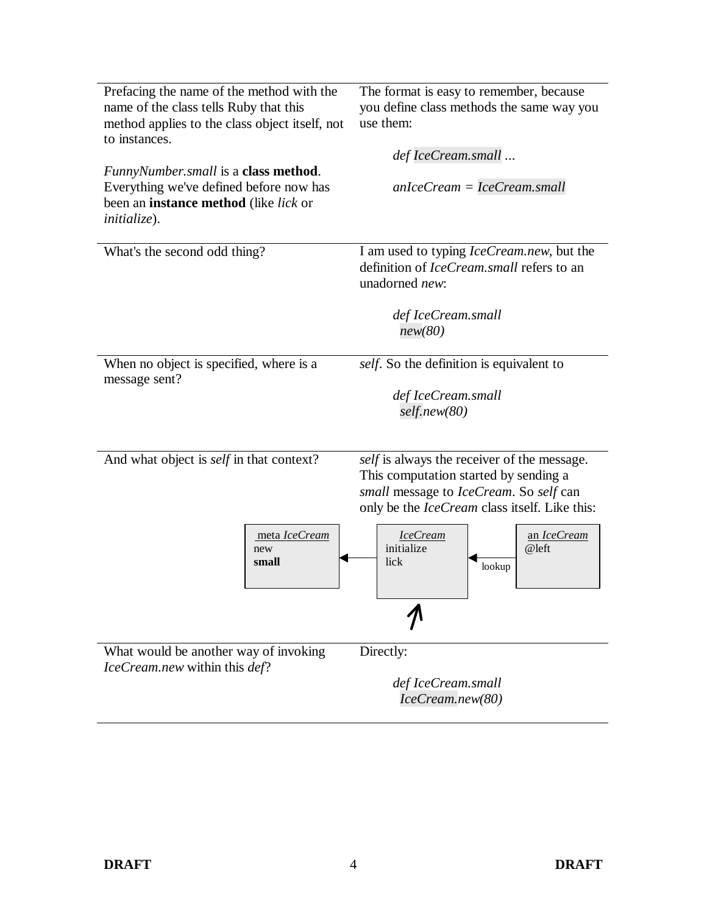| Prefacing the name of the method with the<br>name of the class tells Ruby that this<br>method applies to the class object itself, not<br>to instances.<br><i>FunnyNumber.small</i> is a <b>class method</b> .<br>Everything we've defined before now has<br>been an <b>instance method</b> (like lick or<br><i>initialize</i> ). | The format is easy to remember, because<br>you define class methods the same way you<br>use them:<br>def IceCream.small<br>$anIceCream = IceCream. small$                                                                                                         |
|----------------------------------------------------------------------------------------------------------------------------------------------------------------------------------------------------------------------------------------------------------------------------------------------------------------------------------|-------------------------------------------------------------------------------------------------------------------------------------------------------------------------------------------------------------------------------------------------------------------|
| What's the second odd thing?                                                                                                                                                                                                                                                                                                     | I am used to typing IceCream.new, but the<br>definition of <i>IceCream, small</i> refers to an<br>unadorned new:<br>def IceCream.small<br>new(80)                                                                                                                 |
| When no object is specified, where is a<br>message sent?                                                                                                                                                                                                                                                                         | self. So the definition is equivalent to<br>def IceCream.small<br>self.new(80)                                                                                                                                                                                    |
| And what object is <i>self</i> in that context?<br>meta IceCream<br>new<br>small                                                                                                                                                                                                                                                 | self is always the receiver of the message.<br>This computation started by sending a<br>small message to IceCream. So self can<br>only be the <i>IceCream</i> class itself. Like this:<br><b>IceCream</b><br>an IceCream<br>initialize<br>@left<br>lick<br>lookup |
| What would be another way of invoking<br>IceCream.new within this def?                                                                                                                                                                                                                                                           | Directly:<br>def IceCream.small<br>IceCream.new(80)                                                                                                                                                                                                               |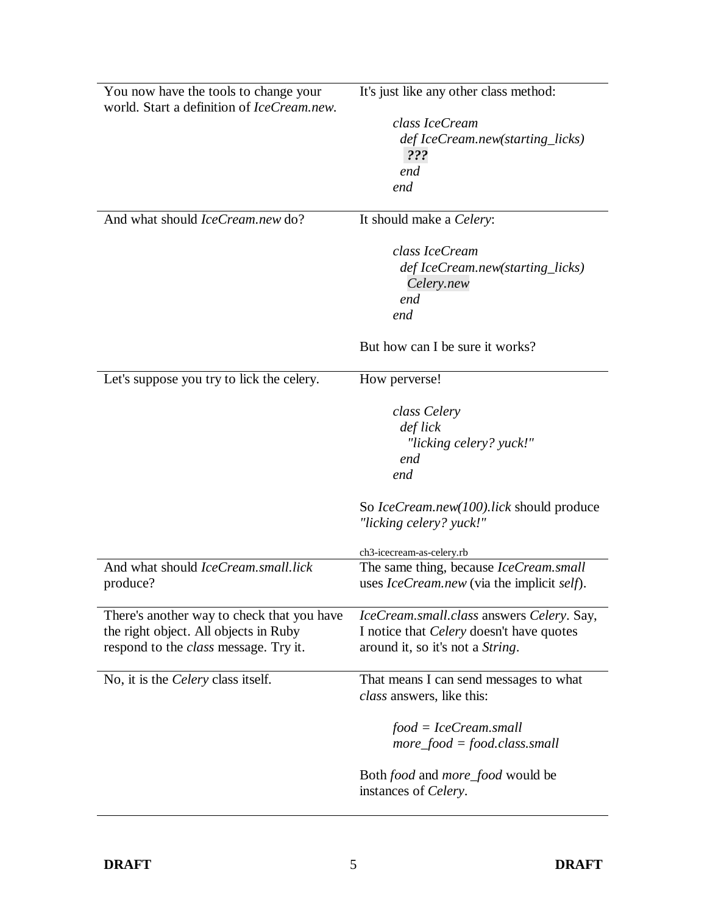| You now have the tools to change your<br>world. Start a definition of IceCream.new. | It's just like any other class method:                    |
|-------------------------------------------------------------------------------------|-----------------------------------------------------------|
|                                                                                     | class IceCream                                            |
|                                                                                     | def IceCream.new(starting_licks)                          |
|                                                                                     | $??\mathcal{S}$                                           |
|                                                                                     | end                                                       |
|                                                                                     | end                                                       |
|                                                                                     |                                                           |
| And what should <i>IceCream.new</i> do?                                             | It should make a <i>Celery</i> :                          |
|                                                                                     | class IceCream                                            |
|                                                                                     | def IceCream.new(starting_licks)                          |
|                                                                                     | Celery.new                                                |
|                                                                                     | end                                                       |
|                                                                                     | end                                                       |
|                                                                                     |                                                           |
|                                                                                     | But how can I be sure it works?                           |
| Let's suppose you try to lick the celery.                                           | How perverse!                                             |
|                                                                                     | class Celery                                              |
|                                                                                     | def lick                                                  |
|                                                                                     | "licking celery? yuck!"                                   |
|                                                                                     | end                                                       |
|                                                                                     | end                                                       |
|                                                                                     |                                                           |
|                                                                                     | So IceCream.new(100).lick should produce                  |
|                                                                                     | "licking celery? yuck!"                                   |
|                                                                                     | ch3-icecream-as-celery.rb                                 |
| And what should IceCream.small.lick                                                 | The same thing, because IceCream.small                    |
| produce?                                                                            | uses <i>IceCream.new</i> (via the implicit <i>self</i> ). |
|                                                                                     |                                                           |
| There's another way to check that you have                                          | IceCream.small.class answers Celery. Say,                 |
| the right object. All objects in Ruby                                               | I notice that <i>Celery</i> doesn't have quotes           |
| respond to the <i>class</i> message. Try it.                                        | around it, so it's not a <i>String</i> .                  |
|                                                                                     |                                                           |
| No, it is the <i>Celery</i> class itself.                                           | That means I can send messages to what                    |
|                                                                                     | class answers, like this:                                 |
|                                                                                     | $food = IceCream. small$                                  |
|                                                                                     | $more\_food = food.class. small$                          |
|                                                                                     |                                                           |
|                                                                                     | Both <i>food</i> and <i>more_food</i> would be            |
|                                                                                     | instances of Celery.                                      |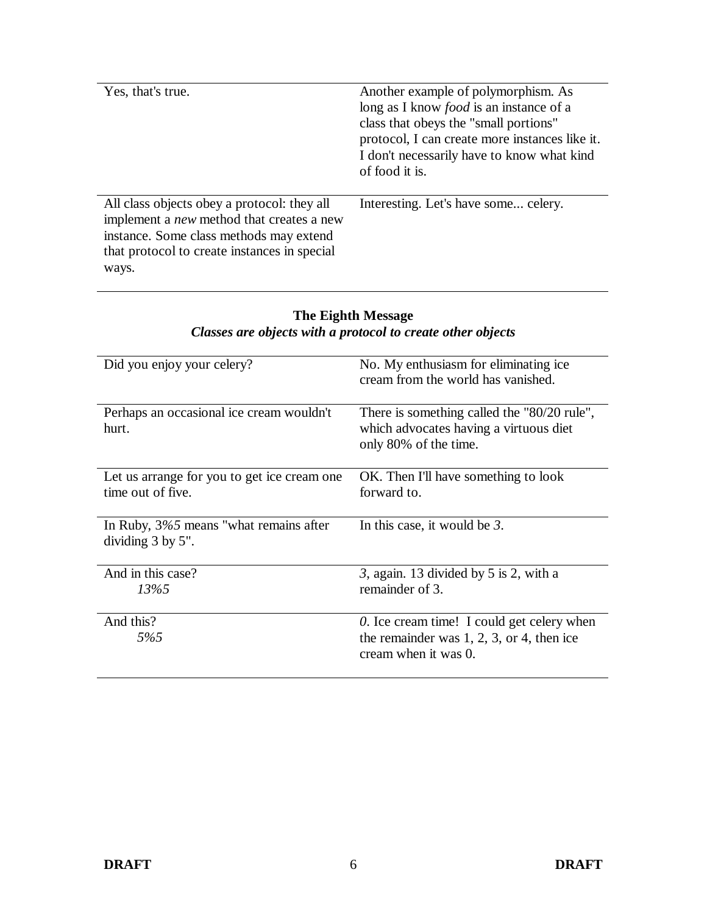| Yes, that's true.                                                                                                                                                                                   | Another example of polymorphism. As<br>long as I know <i>food</i> is an instance of a<br>class that obeys the "small portions"<br>protocol, I can create more instances like it.<br>I don't necessarily have to know what kind<br>of food it is. |
|-----------------------------------------------------------------------------------------------------------------------------------------------------------------------------------------------------|--------------------------------------------------------------------------------------------------------------------------------------------------------------------------------------------------------------------------------------------------|
| All class objects obey a protocol: they all<br>implement a <i>new</i> method that creates a new<br>instance. Some class methods may extend<br>that protocol to create instances in special<br>ways. | Interesting. Let's have some celery.                                                                                                                                                                                                             |

#### **The Eighth Message** *Classes are objects with a protocol to create other objects*

| Did you enjoy your celery?                                          | No. My enthusiasm for eliminating ice.<br>cream from the world has vanished.                                       |
|---------------------------------------------------------------------|--------------------------------------------------------------------------------------------------------------------|
| Perhaps an occasional ice cream wouldn't<br>hurt.                   | There is something called the "80/20 rule",<br>which advocates having a virtuous diet<br>only 80% of the time.     |
| Let us arrange for you to get ice cream one<br>time out of five.    | OK. Then I'll have something to look<br>forward to.                                                                |
| In Ruby, $3\%5$ means "what remains after<br>dividing $3$ by $5$ ". | In this case, it would be $3$ .                                                                                    |
| And in this case?<br>13%5                                           | 3, again. 13 divided by 5 is 2, with a<br>remainder of 3.                                                          |
| And this?<br>5%5                                                    | 0. Ice cream time! I could get celery when<br>the remainder was $1, 2, 3$ , or 4, then ice<br>cream when it was 0. |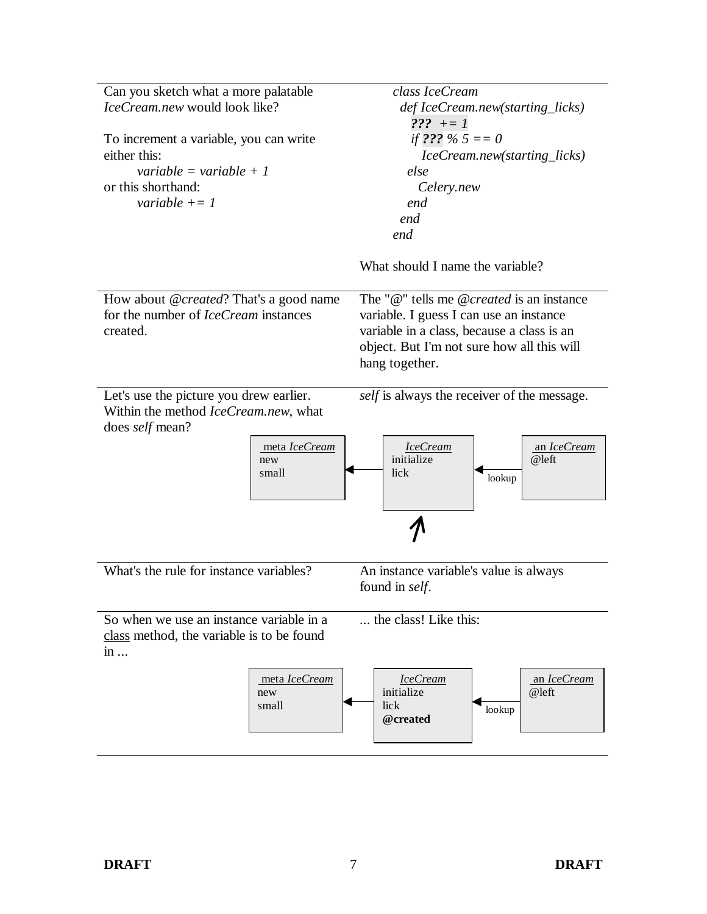| Can you sketch what a more palatable                                            | class IceCream                              |
|---------------------------------------------------------------------------------|---------------------------------------------|
| IceCream.new would look like?                                                   | def IceCream.new(starting_licks)            |
|                                                                                 | $??\quad += I$                              |
| To increment a variable, you can write                                          | if ??? % $5 == 0$                           |
| either this:                                                                    | IceCream.new(starting_licks)                |
| variable = variable + 1                                                         | else                                        |
| or this shorthand:                                                              | Celery.new                                  |
| variable $+=1$                                                                  | end                                         |
|                                                                                 | end                                         |
|                                                                                 | end                                         |
|                                                                                 |                                             |
|                                                                                 | What should I name the variable?            |
| How about @created? That's a good name                                          | The "@" tells me @created is an instance    |
| for the number of <i>IceCream</i> instances                                     | variable. I guess I can use an instance     |
| created.                                                                        | variable in a class, because a class is an  |
|                                                                                 | object. But I'm not sure how all this will  |
|                                                                                 | hang together.                              |
|                                                                                 |                                             |
| Let's use the picture you drew earlier.<br>Within the method IceCream.new, what | self is always the receiver of the message. |
| does <i>self</i> mean?                                                          |                                             |
| meta IceCream                                                                   | <b>IceCream</b><br>an IceCream              |
| new                                                                             | initialize<br>@left                         |
| small                                                                           | lick<br>lookup                              |
|                                                                                 |                                             |
|                                                                                 |                                             |
| What's the rule for instance variables?                                         |                                             |
|                                                                                 | An instance variable's value is always      |
|                                                                                 | found in <i>self</i> .                      |
|                                                                                 | the class! Like this:                       |
| So when we use an instance variable in a                                        |                                             |
| class method, the variable is to be found                                       |                                             |
| $in \dots$                                                                      |                                             |
| meta IceCream                                                                   | <b>IceCream</b><br>an IceCream              |
| new                                                                             | initialize<br>@left                         |
| small                                                                           | lick<br>lookup                              |
|                                                                                 | @created                                    |
|                                                                                 |                                             |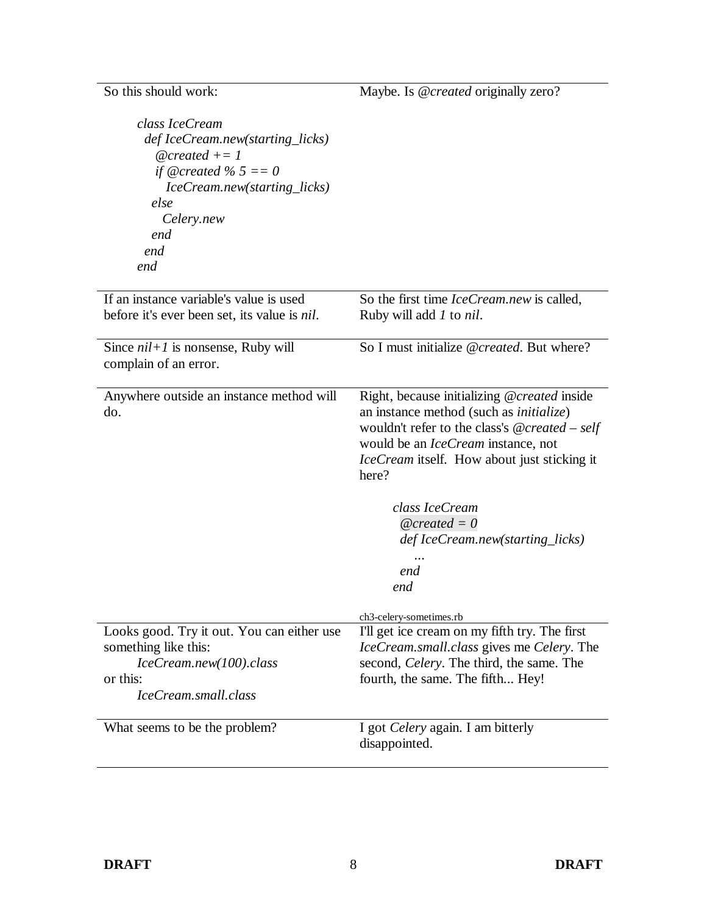So this should work: *class IceCream def IceCream.new(starting\_licks) @created += 1 if @created % 5 == 0 IceCream.new(starting\_licks) else Celery.new end end end* Maybe. Is *@created* originally zero? If an instance variable's value is used before it's ever been set, its value is *nil*. So the first time *IceCream.new* is called, Ruby will add *1* to *nil*. Since *nil+1* is nonsense, Ruby will complain of an error. So I must initialize *@created*. But where? Anywhere outside an instance method will do. Right, because initializing *@created* inside an instance method (such as *initialize*) wouldn't refer to the class's *@created* – *self* would be an *IceCream* instance, not *IceCream* itself. How about just sticking it here? *class IceCream @created = 0 def IceCream.new(starting\_licks) ... end end* ch3-celery-sometimes.rb Looks good. Try it out. You can either use something like this: *IceCream.new(100).class* or this: *IceCream.small.class* I'll get ice cream on my fifth try. The first *IceCream.small.class* gives me *Celery*. The second, *Celery*. The third, the same. The fourth, the same. The fifth... Hey! What seems to be the problem? I got *Celery* again. I am bitterly disappointed.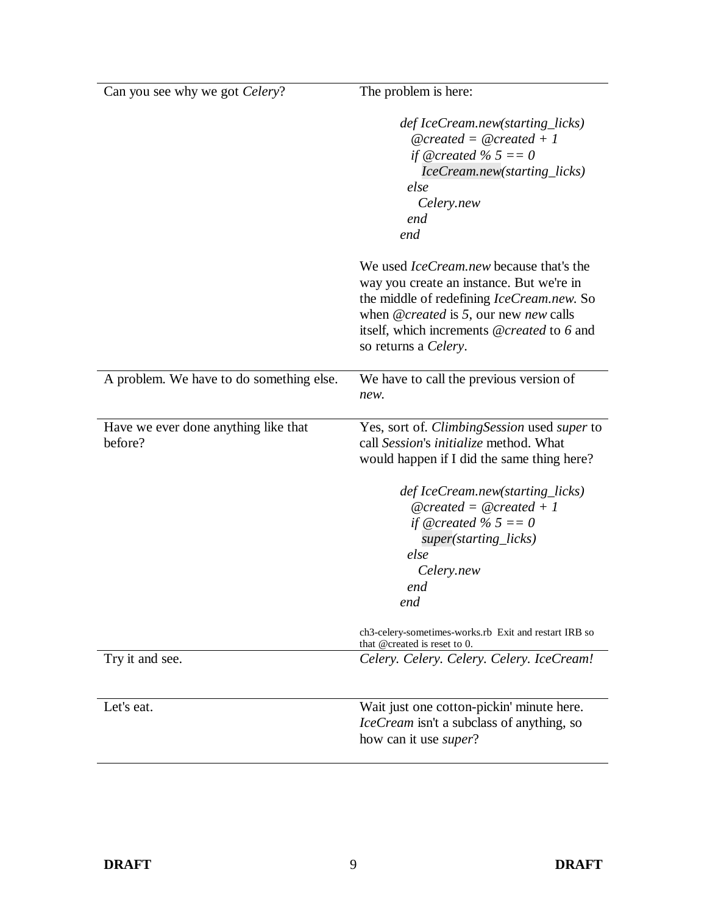| Can you see why we got <i>Celery</i> ?          | The problem is here:                                                                                                                                                                                                                                   |
|-------------------------------------------------|--------------------------------------------------------------------------------------------------------------------------------------------------------------------------------------------------------------------------------------------------------|
|                                                 | def IceCream.new(starting_licks)<br>$@created = @created + 1$<br>if @created % $5 == 0$<br>IceCream.new(starting_licks)<br>else<br>Celery.new<br>end<br>end                                                                                            |
|                                                 | We used <i>IceCream.new</i> because that's the<br>way you create an instance. But we're in<br>the middle of redefining IceCream.new. So<br>when @created is 5, our new new calls<br>itself, which increments @created to 6 and<br>so returns a Celery. |
| A problem. We have to do something else.        | We have to call the previous version of<br>new.                                                                                                                                                                                                        |
| Have we ever done anything like that<br>before? | Yes, sort of. <i>ClimbingSession</i> used <i>super</i> to<br>call Session's initialize method. What<br>would happen if I did the same thing here?                                                                                                      |
|                                                 | def IceCream.new(starting_licks)<br>$@created = @created + 1$<br>if @created % $5 == 0$<br>super(starting_licks)<br>else<br>Celery.new<br>end<br>end                                                                                                   |
|                                                 | ch3-celery-sometimes-works.rb Exit and restart IRB so<br>that @created is reset to 0.                                                                                                                                                                  |
| Try it and see.                                 | Celery. Celery. Celery. Celery. IceCream!                                                                                                                                                                                                              |
| Let's eat.                                      | Wait just one cotton-pickin' minute here.<br><i>IceCream</i> isn't a subclass of anything, so<br>how can it use <i>super</i> ?                                                                                                                         |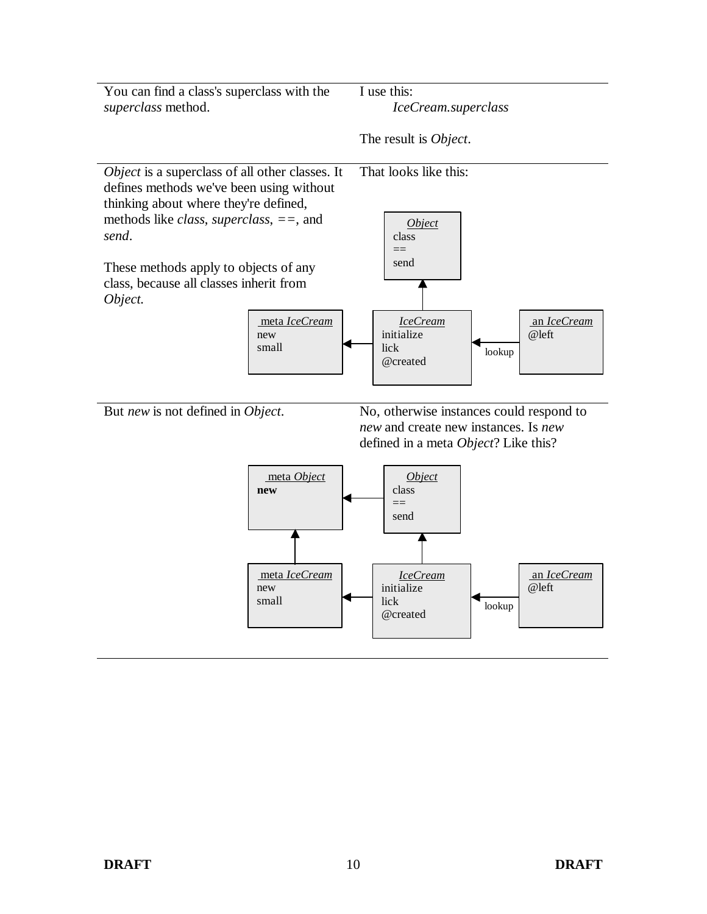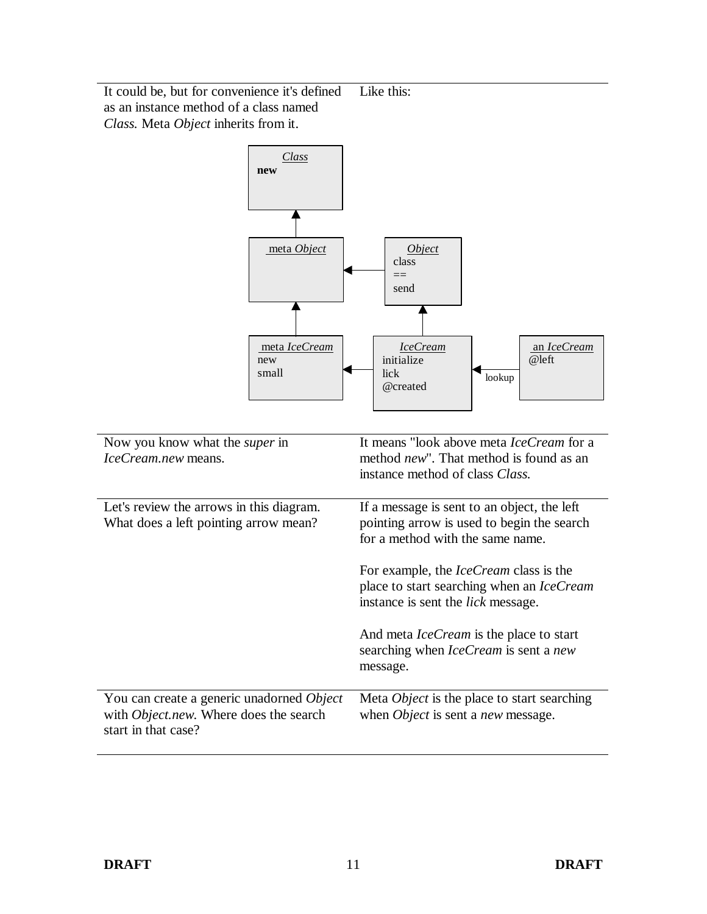It could be, but for convenience it's defined as an instance method of a class named *Class.* Meta *Object* inherits from it. Like this:

 $\overline{a}$ 

| Class<br>new                                                                                               |                                                                                                                                         |
|------------------------------------------------------------------------------------------------------------|-----------------------------------------------------------------------------------------------------------------------------------------|
|                                                                                                            |                                                                                                                                         |
| meta Object                                                                                                | Object<br>class<br>$=$<br>send                                                                                                          |
|                                                                                                            |                                                                                                                                         |
| meta IceCream<br>new<br>small                                                                              | an IceCream<br><b>IceCream</b><br>@left<br>initialize<br>lick<br>lookup<br>@created                                                     |
| Now you know what the <i>super</i> in<br>IceCream.new means.                                               | It means "look above meta IceCream for a<br>method <i>new</i> ". That method is found as an<br>instance method of class Class.          |
| Let's review the arrows in this diagram.<br>What does a left pointing arrow mean?                          | If a message is sent to an object, the left<br>pointing arrow is used to begin the search<br>for a method with the same name.           |
|                                                                                                            | For example, the <i>IceCream</i> class is the<br>place to start searching when an IceCream<br>instance is sent the <i>lick</i> message. |
|                                                                                                            | And meta <i>IceCream</i> is the place to start<br>searching when <i>IceCream</i> is sent a new<br>message.                              |
| You can create a generic unadorned Object<br>with Object.new. Where does the search<br>start in that case? | Meta Object is the place to start searching<br>when <i>Object</i> is sent a <i>new</i> message.                                         |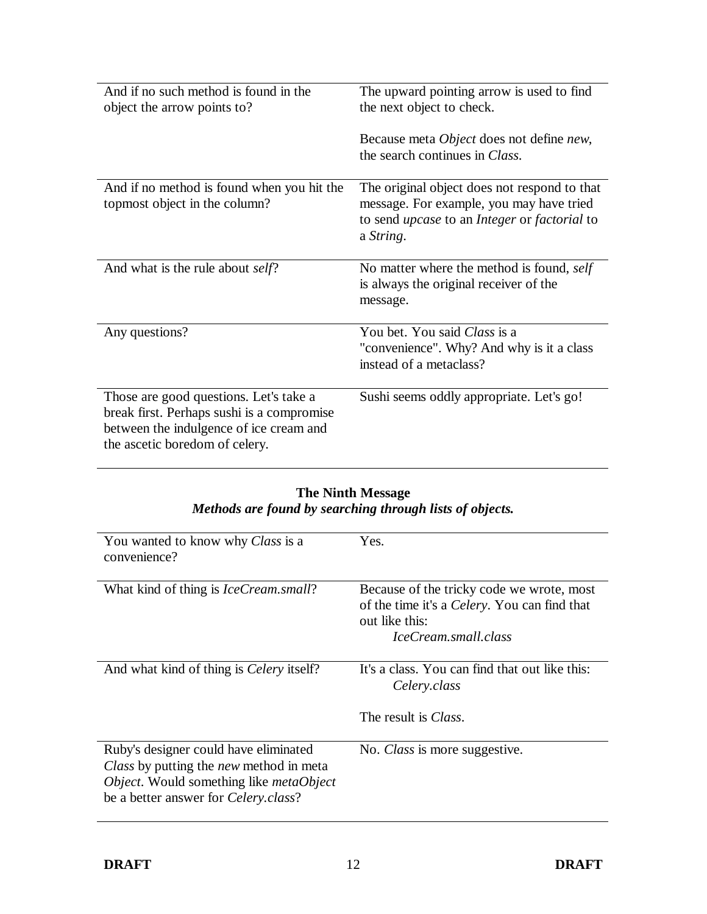| And if no such method is found in the<br>object the arrow points to?                                                                                              | The upward pointing arrow is used to find<br>the next object to check.<br>Because meta <i>Object</i> does not define <i>new</i> ,<br>the search continues in Class.        |
|-------------------------------------------------------------------------------------------------------------------------------------------------------------------|----------------------------------------------------------------------------------------------------------------------------------------------------------------------------|
| And if no method is found when you hit the<br>topmost object in the column?                                                                                       | The original object does not respond to that<br>message. For example, you may have tried<br>to send <i>upcase</i> to an <i>Integer</i> or <i>factorial</i> to<br>a String. |
| And what is the rule about <i>self</i> ?                                                                                                                          | No matter where the method is found, self<br>is always the original receiver of the<br>message.                                                                            |
| Any questions?                                                                                                                                                    | You bet. You said Class is a<br>"convenience". Why? And why is it a class<br>instead of a metaclass?                                                                       |
| Those are good questions. Let's take a<br>break first. Perhaps sushi is a compromise<br>between the indulgence of ice cream and<br>the ascetic boredom of celery. | Sushi seems oddly appropriate. Let's go!                                                                                                                                   |

#### **The Ninth Message** *Methods are found by searching through lists of objects.*

| You wanted to know why Class is a<br>convenience?                                                                                                                                  | Yes.                                                                                                                                        |
|------------------------------------------------------------------------------------------------------------------------------------------------------------------------------------|---------------------------------------------------------------------------------------------------------------------------------------------|
| What kind of thing is <i>IceCream.small</i> ?                                                                                                                                      | Because of the tricky code we wrote, most<br>of the time it's a <i>Celery</i> . You can find that<br>out like this:<br>IceCream.small.class |
| And what kind of thing is <i>Celery</i> itself?                                                                                                                                    | It's a class. You can find that out like this:<br>Celery.class                                                                              |
|                                                                                                                                                                                    | The result is <i>Class</i> .                                                                                                                |
| Ruby's designer could have eliminated<br>Class by putting the new method in meta<br>Object. Would something like <i>metaObject</i><br>be a better answer for <i>Celery.class</i> ? | No. Class is more suggestive.                                                                                                               |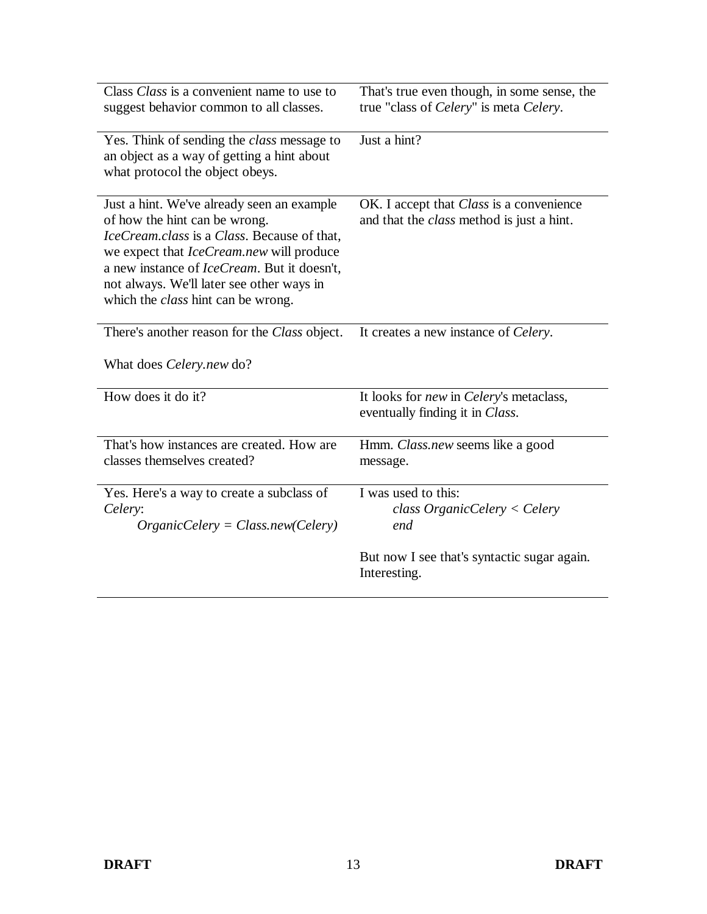| Class Class is a convenient name to use to<br>suggest behavior common to all classes.                                                                                                                                                                                                                                  | That's true even though, in some sense, the<br>true "class of Celery" is meta Celery.        |
|------------------------------------------------------------------------------------------------------------------------------------------------------------------------------------------------------------------------------------------------------------------------------------------------------------------------|----------------------------------------------------------------------------------------------|
| Yes. Think of sending the <i>class</i> message to<br>an object as a way of getting a hint about<br>what protocol the object obeys.                                                                                                                                                                                     | Just a hint?                                                                                 |
| Just a hint. We've already seen an example<br>of how the hint can be wrong.<br>IceCream.class is a Class. Because of that,<br>we expect that <i>IceCream.new</i> will produce<br>a new instance of IceCream. But it doesn't,<br>not always. We'll later see other ways in<br>which the <i>class</i> hint can be wrong. | OK. I accept that Class is a convenience<br>and that the <i>class</i> method is just a hint. |
| There's another reason for the Class object.<br>What does <i>Celery.new</i> do?                                                                                                                                                                                                                                        | It creates a new instance of <i>Celery</i> .                                                 |
| How does it do it?                                                                                                                                                                                                                                                                                                     | It looks for <i>new</i> in <i>Celery's</i> metaclass,<br>eventually finding it in Class.     |
| That's how instances are created. How are<br>classes themselves created?                                                                                                                                                                                                                                               | Hmm. Class.new seems like a good<br>message.                                                 |
| Yes. Here's a way to create a subclass of<br>Celery:<br>$OrganicCelery = Class.new(Celery)$                                                                                                                                                                                                                            | I was used to this:<br>$class Organization$ < Celery<br>end                                  |
|                                                                                                                                                                                                                                                                                                                        | But now I see that's syntactic sugar again.<br>Interesting.                                  |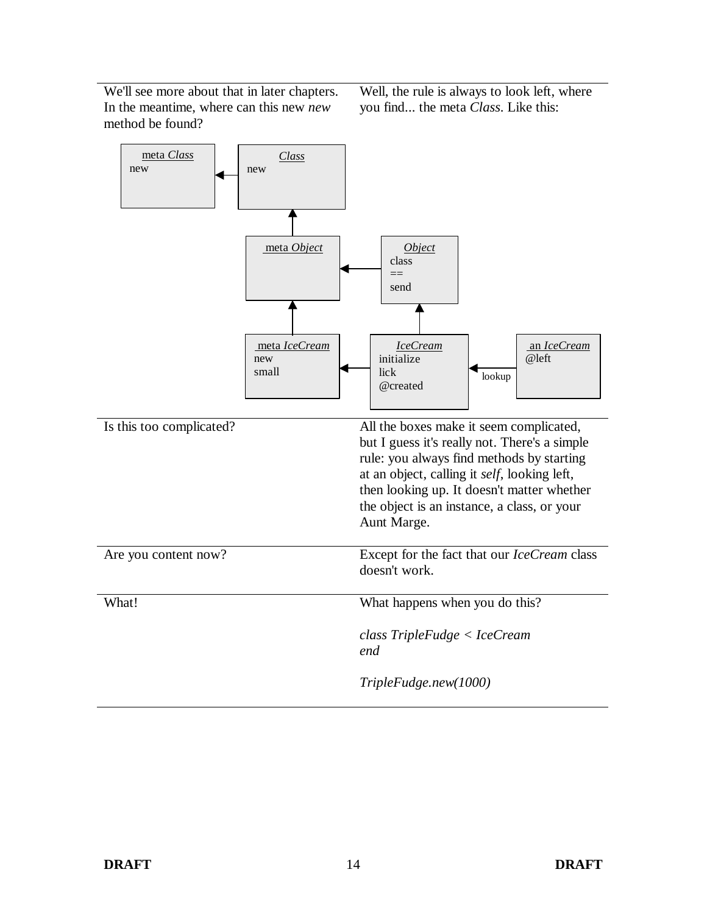We'll see more about that in later chapters. In the meantime, where can this new *new* method be found?

Well, the rule is always to look left, where you find... the meta *Class*. Like this:

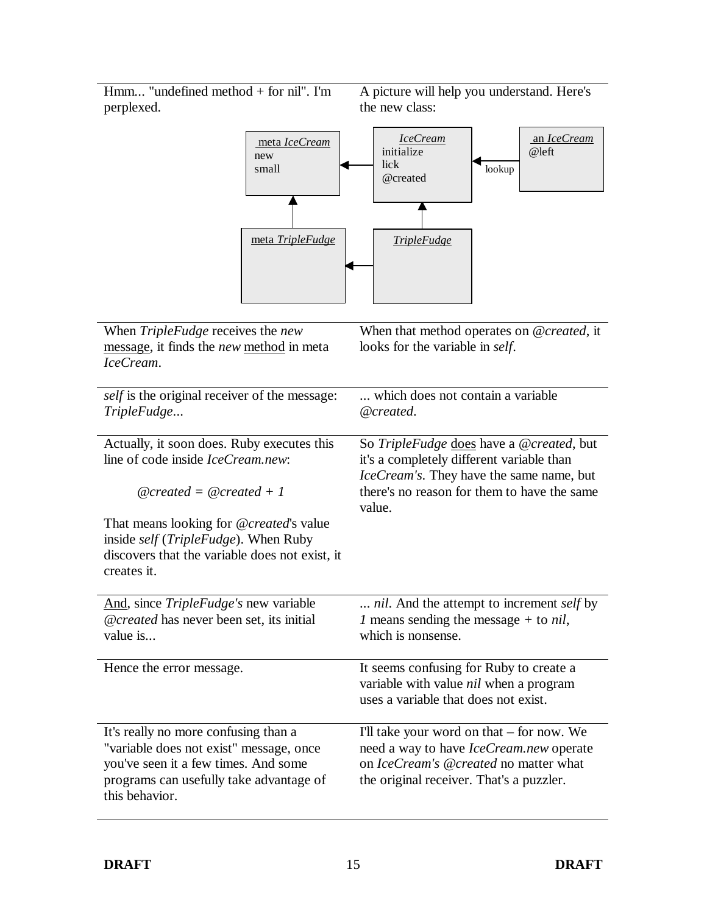Hmm... "undefined method + for nil". I'm perplexed.

A picture will help you understand. Here's the new class:



| When TripleFudge receives the new<br>message, it finds the new method in meta<br>IceCream.                                                                                           | When that method operates on @created, it<br>looks for the variable in self.                                                                                                               |
|--------------------------------------------------------------------------------------------------------------------------------------------------------------------------------------|--------------------------------------------------------------------------------------------------------------------------------------------------------------------------------------------|
| <i>self</i> is the original receiver of the message:<br>TripleFudge                                                                                                                  | which does not contain a variable.<br>@created.                                                                                                                                            |
| Actually, it soon does. Ruby executes this<br>line of code inside <i>IceCream.new</i> :<br>$@created = @created + 1$                                                                 | So TripleFudge does have a @created, but<br>it's a completely different variable than<br>IceCream's. They have the same name, but<br>there's no reason for them to have the same<br>value. |
| That means looking for @created's value<br>inside self (TripleFudge). When Ruby<br>discovers that the variable does not exist, it<br>creates it.                                     |                                                                                                                                                                                            |
| And, since TripleFudge's new variable<br>@created has never been set, its initial<br>value is                                                                                        | nil. And the attempt to increment self by<br><i>l</i> means sending the message + to <i>nil</i> ,<br>which is nonsense.                                                                    |
| Hence the error message.                                                                                                                                                             | It seems confusing for Ruby to create a<br>variable with value nil when a program<br>uses a variable that does not exist.                                                                  |
| It's really no more confusing than a<br>"variable does not exist" message, once<br>you've seen it a few times. And some<br>programs can usefully take advantage of<br>this behavior. | I'll take your word on that – for now. We<br>need a way to have <i>IceCream.new</i> operate<br>on IceCream's @created no matter what<br>the original receiver. That's a puzzler.           |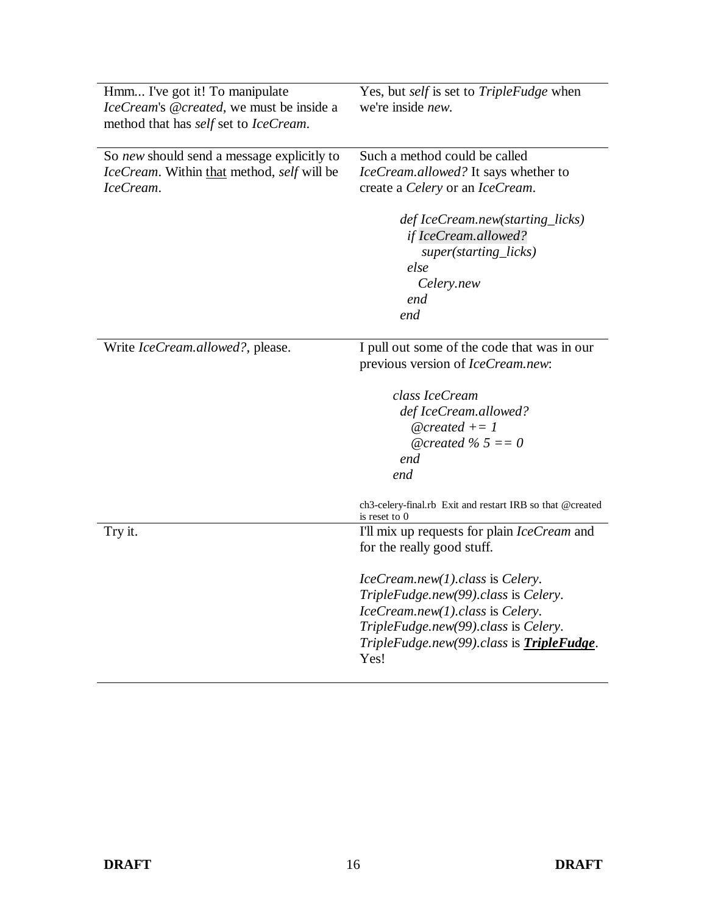| Hmm I've got it! To manipulate             | Yes, but self is set to TripleFudge when                                   |
|--------------------------------------------|----------------------------------------------------------------------------|
| IceCream's @created, we must be inside a   | we're inside new.                                                          |
| method that has self set to IceCream.      |                                                                            |
|                                            |                                                                            |
| So new should send a message explicitly to | Such a method could be called                                              |
| IceCream. Within that method, self will be | IceCream.allowed? It says whether to                                       |
| IceCream.                                  | create a Celery or an IceCream.                                            |
|                                            |                                                                            |
|                                            | def IceCream.new(starting_licks)                                           |
|                                            | if IceCream.allowed?                                                       |
|                                            | super(starting_licks)                                                      |
|                                            | else                                                                       |
|                                            | Celery.new                                                                 |
|                                            | end                                                                        |
|                                            | end                                                                        |
|                                            |                                                                            |
| Write IceCream.allowed?, please.           | I pull out some of the code that was in our                                |
|                                            | previous version of IceCream.new:                                          |
|                                            |                                                                            |
|                                            | class IceCream                                                             |
|                                            | def IceCream.allowed?                                                      |
|                                            | $@created += 1$                                                            |
|                                            | @created % $5 == 0$                                                        |
|                                            | end                                                                        |
|                                            | end                                                                        |
|                                            |                                                                            |
|                                            | ch3-celery-final.rb Exit and restart IRB so that @created<br>is reset to 0 |
| Try it.                                    | I'll mix up requests for plain IceCream and                                |
|                                            | for the really good stuff.                                                 |
|                                            |                                                                            |
|                                            | $IceCream.new(1).class$ is Celery.                                         |
|                                            | TripleFudge.new(99).class is Celery.                                       |
|                                            | IceCream.new(1).class is Celery.                                           |
|                                            | TripleFudge.new(99).class is Celery.                                       |
|                                            | TripleFudge.new(99).class is <b>TripleFudge</b> .                          |
|                                            | Yes!                                                                       |
|                                            |                                                                            |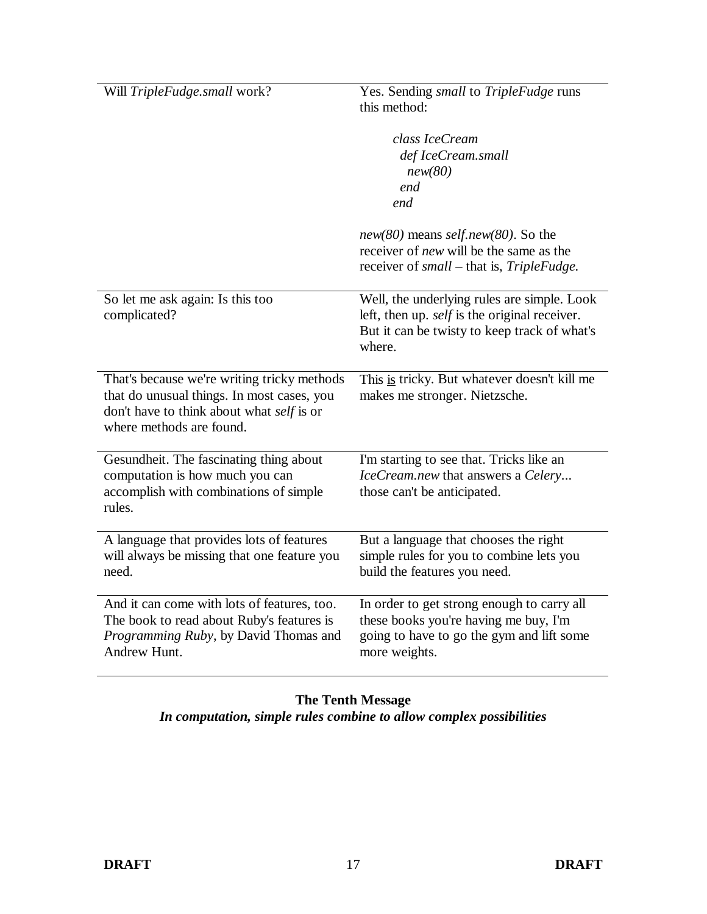| Will TripleFudge.small work?                                                                                                                                       | Yes. Sending small to TripleFudge runs<br>this method:                                                                                                        |
|--------------------------------------------------------------------------------------------------------------------------------------------------------------------|---------------------------------------------------------------------------------------------------------------------------------------------------------------|
|                                                                                                                                                                    | class IceCream<br>def IceCream.small<br>new(80)<br>end<br>end                                                                                                 |
|                                                                                                                                                                    | $new(80)$ means self.new(80). So the<br>receiver of <i>new</i> will be the same as the<br>receiver of small – that is, TripleFudge.                           |
| So let me ask again: Is this too<br>complicated?                                                                                                                   | Well, the underlying rules are simple. Look<br>left, then up. <i>self</i> is the original receiver.<br>But it can be twisty to keep track of what's<br>where. |
| That's because we're writing tricky methods<br>that do unusual things. In most cases, you<br>don't have to think about what self is or<br>where methods are found. | This is tricky. But whatever doesn't kill me<br>makes me stronger. Nietzsche.                                                                                 |
| Gesundheit. The fascinating thing about<br>computation is how much you can<br>accomplish with combinations of simple<br>rules.                                     | I'm starting to see that. Tricks like an<br>IceCream.new that answers a Celery<br>those can't be anticipated.                                                 |
| A language that provides lots of features<br>will always be missing that one feature you<br>need.                                                                  | But a language that chooses the right<br>simple rules for you to combine lets you<br>build the features you need.                                             |
| And it can come with lots of features, too.<br>The book to read about Ruby's features is<br>Programming Ruby, by David Thomas and<br>Andrew Hunt.                  | In order to get strong enough to carry all<br>these books you're having me buy, I'm<br>going to have to go the gym and lift some<br>more weights.             |

### **The Tenth Message** *In computation, simple rules combine to allow complex possibilities*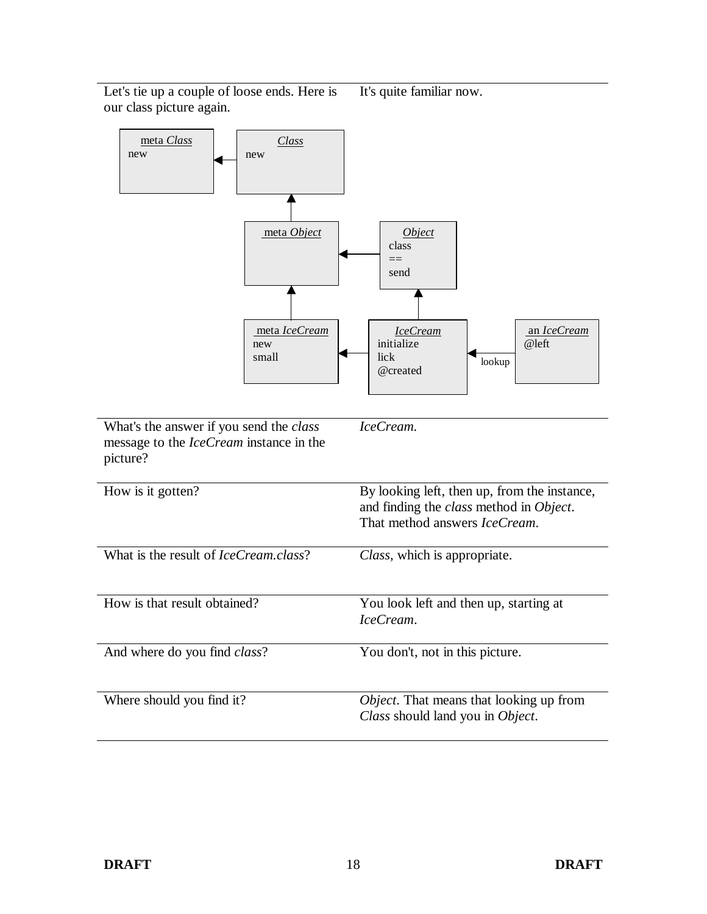Let's tie up a couple of loose ends. Here is our class picture again. It's quite familiar now.

| meta Class<br><b>Class</b><br>new<br>new<br>meta Object<br>meta IceCream<br>new<br>small                     | <i><u><b>Object</b></u></i><br>class<br>$==$<br>send<br>an IceCream<br><b>IceCream</b><br>@left<br>initialize<br>lick<br>lookup<br>@created |
|--------------------------------------------------------------------------------------------------------------|---------------------------------------------------------------------------------------------------------------------------------------------|
| What's the answer if you send the <i>class</i><br>message to the <i>IceCream</i> instance in the<br>picture? | IceCream.                                                                                                                                   |
| How is it gotten?                                                                                            | By looking left, then up, from the instance,<br>and finding the class method in Object.<br>That method answers IceCream.                    |
| What is the result of <i>IceCream.class</i> ?                                                                | Class, which is appropriate.                                                                                                                |
| How is that result obtained?                                                                                 | You look left and then up, starting at<br>IceCream.                                                                                         |
| And where do you find <i>class</i> ?                                                                         | You don't, not in this picture.                                                                                                             |
| Where should you find it?                                                                                    | Object. That means that looking up from<br>Class should land you in Object.                                                                 |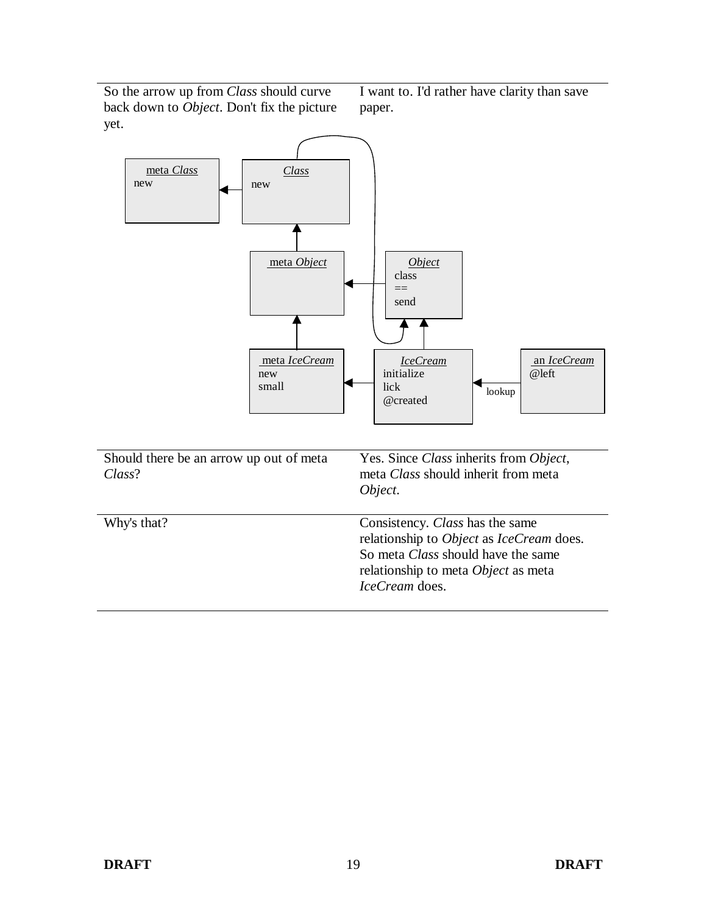So the arrow up from *Class* should curve back down to *Object*. Don't fix the picture yet.

I want to. I'd rather have clarity than save paper.